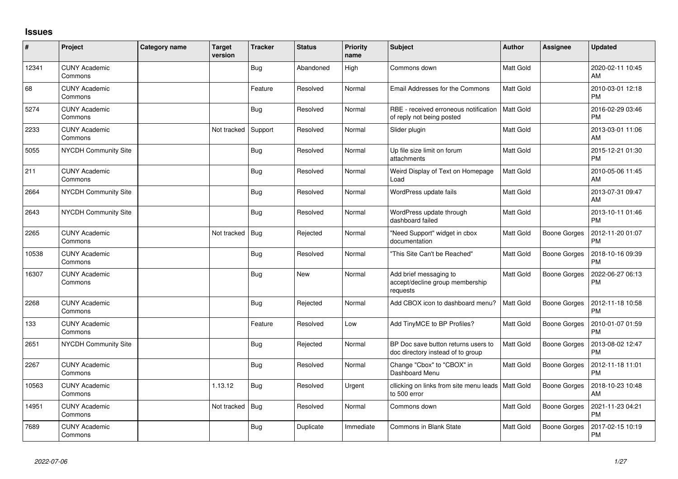## **Issues**

| #     | Project                         | <b>Category name</b> | <b>Target</b><br>version | <b>Tracker</b> | <b>Status</b> | <b>Priority</b><br>name | <b>Subject</b>                                                           | <b>Author</b>    | Assignee            | <b>Updated</b>                |
|-------|---------------------------------|----------------------|--------------------------|----------------|---------------|-------------------------|--------------------------------------------------------------------------|------------------|---------------------|-------------------------------|
| 12341 | <b>CUNY Academic</b><br>Commons |                      |                          | <b>Bug</b>     | Abandoned     | High                    | Commons down                                                             | <b>Matt Gold</b> |                     | 2020-02-11 10:45<br>AM        |
| 68    | <b>CUNY Academic</b><br>Commons |                      |                          | Feature        | Resolved      | Normal                  | Email Addresses for the Commons                                          | <b>Matt Gold</b> |                     | 2010-03-01 12:18<br><b>PM</b> |
| 5274  | <b>CUNY Academic</b><br>Commons |                      |                          | <b>Bug</b>     | Resolved      | Normal                  | RBE - received erroneous notification<br>of reply not being posted       | <b>Matt Gold</b> |                     | 2016-02-29 03:46<br><b>PM</b> |
| 2233  | <b>CUNY Academic</b><br>Commons |                      | Not tracked              | Support        | Resolved      | Normal                  | Slider plugin                                                            | Matt Gold        |                     | 2013-03-01 11:06<br>AM        |
| 5055  | NYCDH Community Site            |                      |                          | <b>Bug</b>     | Resolved      | Normal                  | Up file size limit on forum<br>attachments                               | <b>Matt Gold</b> |                     | 2015-12-21 01:30<br><b>PM</b> |
| 211   | <b>CUNY Academic</b><br>Commons |                      |                          | Bug            | Resolved      | Normal                  | Weird Display of Text on Homepage<br>Load                                | Matt Gold        |                     | 2010-05-06 11:45<br>AM        |
| 2664  | NYCDH Community Site            |                      |                          | <b>Bug</b>     | Resolved      | Normal                  | WordPress update fails                                                   | <b>Matt Gold</b> |                     | 2013-07-31 09:47<br>AM        |
| 2643  | NYCDH Community Site            |                      |                          | Bug            | Resolved      | Normal                  | WordPress update through<br>dashboard failed                             | Matt Gold        |                     | 2013-10-11 01:46<br><b>PM</b> |
| 2265  | <b>CUNY Academic</b><br>Commons |                      | Not tracked              | Bug            | Rejected      | Normal                  | "Need Support" widget in cbox<br>documentation                           | Matt Gold        | Boone Gorges        | 2012-11-20 01:07<br><b>PM</b> |
| 10538 | <b>CUNY Academic</b><br>Commons |                      |                          | <b>Bug</b>     | Resolved      | Normal                  | "This Site Can't be Reached"                                             | <b>Matt Gold</b> | <b>Boone Gorges</b> | 2018-10-16 09:39<br><b>PM</b> |
| 16307 | <b>CUNY Academic</b><br>Commons |                      |                          | <b>Bug</b>     | <b>New</b>    | Normal                  | Add brief messaging to<br>accept/decline group membership<br>requests    | <b>Matt Gold</b> | Boone Gorges        | 2022-06-27 06:13<br><b>PM</b> |
| 2268  | <b>CUNY Academic</b><br>Commons |                      |                          | <b>Bug</b>     | Rejected      | Normal                  | Add CBOX icon to dashboard menu?                                         | Matt Gold        | Boone Gorges        | 2012-11-18 10:58<br><b>PM</b> |
| 133   | <b>CUNY Academic</b><br>Commons |                      |                          | Feature        | Resolved      | Low                     | Add TinyMCE to BP Profiles?                                              | <b>Matt Gold</b> | Boone Gorges        | 2010-01-07 01:59<br><b>PM</b> |
| 2651  | <b>NYCDH Community Site</b>     |                      |                          | <b>Bug</b>     | Rejected      | Normal                  | BP Doc save button returns users to<br>doc directory instead of to group | <b>Matt Gold</b> | Boone Gorges        | 2013-08-02 12:47<br><b>PM</b> |
| 2267  | <b>CUNY Academic</b><br>Commons |                      |                          | <b>Bug</b>     | Resolved      | Normal                  | Change "Cbox" to "CBOX" in<br>Dashboard Menu                             | <b>Matt Gold</b> | Boone Gorges        | 2012-11-18 11:01<br><b>PM</b> |
| 10563 | <b>CUNY Academic</b><br>Commons |                      | 1.13.12                  | <b>Bug</b>     | Resolved      | Urgent                  | cllicking on links from site menu leads   Matt Gold<br>to 500 error      |                  | Boone Gorges        | 2018-10-23 10:48<br>AM        |
| 14951 | <b>CUNY Academic</b><br>Commons |                      | Not tracked              | <b>Bug</b>     | Resolved      | Normal                  | Commons down                                                             | <b>Matt Gold</b> | <b>Boone Gorges</b> | 2021-11-23 04:21<br><b>PM</b> |
| 7689  | <b>CUNY Academic</b><br>Commons |                      |                          | <b>Bug</b>     | Duplicate     | Immediate               | <b>Commons in Blank State</b>                                            | <b>Matt Gold</b> | <b>Boone Gorges</b> | 2017-02-15 10:19<br><b>PM</b> |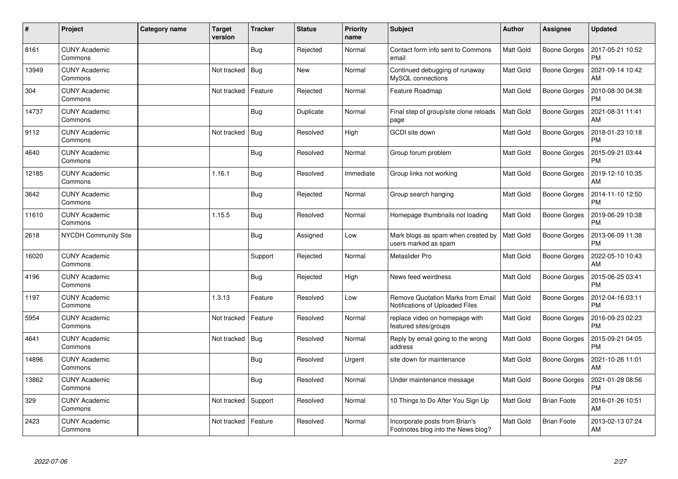| #     | Project                         | <b>Category name</b> | <b>Target</b><br>version | <b>Tracker</b> | <b>Status</b> | <b>Priority</b><br>name | <b>Subject</b>                                                              | Author           | <b>Assignee</b>     | <b>Updated</b>                |
|-------|---------------------------------|----------------------|--------------------------|----------------|---------------|-------------------------|-----------------------------------------------------------------------------|------------------|---------------------|-------------------------------|
| 8161  | <b>CUNY Academic</b><br>Commons |                      |                          | Bug            | Rejected      | Normal                  | Contact form info sent to Commons<br>email                                  | <b>Matt Gold</b> | Boone Gorges        | 2017-05-21 10:52<br><b>PM</b> |
| 13949 | <b>CUNY Academic</b><br>Commons |                      | Not tracked              | Bug            | <b>New</b>    | Normal                  | Continued debugging of runaway<br>MySQL connections                         | Matt Gold        | Boone Gorges        | 2021-09-14 10:42<br>AM        |
| 304   | <b>CUNY Academic</b><br>Commons |                      | Not tracked              | Feature        | Rejected      | Normal                  | Feature Roadmap                                                             | Matt Gold        | Boone Gorges        | 2010-08-30 04:38<br><b>PM</b> |
| 14737 | <b>CUNY Academic</b><br>Commons |                      |                          | Bug            | Duplicate     | Normal                  | Final step of group/site clone reloads<br>page                              | <b>Matt Gold</b> | Boone Gorges        | 2021-08-31 11:41<br>AM        |
| 9112  | <b>CUNY Academic</b><br>Commons |                      | Not tracked              | <b>Bug</b>     | Resolved      | High                    | <b>GCDI</b> site down                                                       | Matt Gold        | Boone Gorges        | 2018-01-23 10:18<br><b>PM</b> |
| 4640  | <b>CUNY Academic</b><br>Commons |                      |                          | Bug            | Resolved      | Normal                  | Group forum problem                                                         | <b>Matt Gold</b> | Boone Gorges        | 2015-09-21 03:44<br><b>PM</b> |
| 12185 | <b>CUNY Academic</b><br>Commons |                      | 1.16.1                   | <b>Bug</b>     | Resolved      | Immediate               | Group links not working                                                     | Matt Gold        | Boone Gorges        | 2019-12-10 10:35<br>AM        |
| 3642  | <b>CUNY Academic</b><br>Commons |                      |                          | Bug            | Rejected      | Normal                  | Group search hanging                                                        | <b>Matt Gold</b> | Boone Gorges        | 2014-11-10 12:50<br><b>PM</b> |
| 11610 | <b>CUNY Academic</b><br>Commons |                      | 1.15.5                   | <b>Bug</b>     | Resolved      | Normal                  | Homepage thumbnails not loading                                             | <b>Matt Gold</b> | Boone Gorges        | 2019-06-29 10:38<br><b>PM</b> |
| 2618  | <b>NYCDH Community Site</b>     |                      |                          | <b>Bug</b>     | Assigned      | Low                     | Mark blogs as spam when created by<br>users marked as spam                  | Matt Gold        | Boone Gorges        | 2013-06-09 11:38<br><b>PM</b> |
| 16020 | <b>CUNY Academic</b><br>Commons |                      |                          | Support        | Rejected      | Normal                  | Metaslider Pro                                                              | <b>Matt Gold</b> | Boone Gorges        | 2022-05-10 10:43<br>AM        |
| 4196  | <b>CUNY Academic</b><br>Commons |                      |                          | <b>Bug</b>     | Rejected      | High                    | News feed weirdness                                                         | Matt Gold        | Boone Gorges        | 2015-06-25 03:41<br><b>PM</b> |
| 1197  | <b>CUNY Academic</b><br>Commons |                      | 1.3.13                   | Feature        | Resolved      | Low                     | <b>Remove Quotation Marks from Email</b><br>Notifications of Uploaded Files | Matt Gold        | Boone Gorges        | 2012-04-16 03:11<br><b>PM</b> |
| 5954  | <b>CUNY Academic</b><br>Commons |                      | Not tracked              | Feature        | Resolved      | Normal                  | replace video on homepage with<br>featured sites/groups                     | Matt Gold        | Boone Gorges        | 2016-09-23 02:23<br><b>PM</b> |
| 4641  | <b>CUNY Academic</b><br>Commons |                      | Not tracked              | <b>Bug</b>     | Resolved      | Normal                  | Reply by email going to the wrong<br>address                                | Matt Gold        | Boone Gorges        | 2015-09-21 04:05<br><b>PM</b> |
| 14896 | <b>CUNY Academic</b><br>Commons |                      |                          | Bug            | Resolved      | Urgent                  | site down for maintenance                                                   | <b>Matt Gold</b> | <b>Boone Gorges</b> | 2021-10-26 11:01<br>AM        |
| 13862 | <b>CUNY Academic</b><br>Commons |                      |                          | <b>Bug</b>     | Resolved      | Normal                  | Under maintenance message                                                   | <b>Matt Gold</b> | Boone Gorges        | 2021-01-28 08:56<br><b>PM</b> |
| 329   | <b>CUNY Academic</b><br>Commons |                      | Not tracked              | Support        | Resolved      | Normal                  | 10 Things to Do After You Sign Up                                           | <b>Matt Gold</b> | <b>Brian Foote</b>  | 2016-01-26 10:51<br>AM        |
| 2423  | <b>CUNY Academic</b><br>Commons |                      | Not tracked              | Feature        | Resolved      | Normal                  | Incorporate posts from Brian's<br>Footnotes blog into the News blog?        | Matt Gold        | <b>Brian Foote</b>  | 2013-02-13 07:24<br>AM        |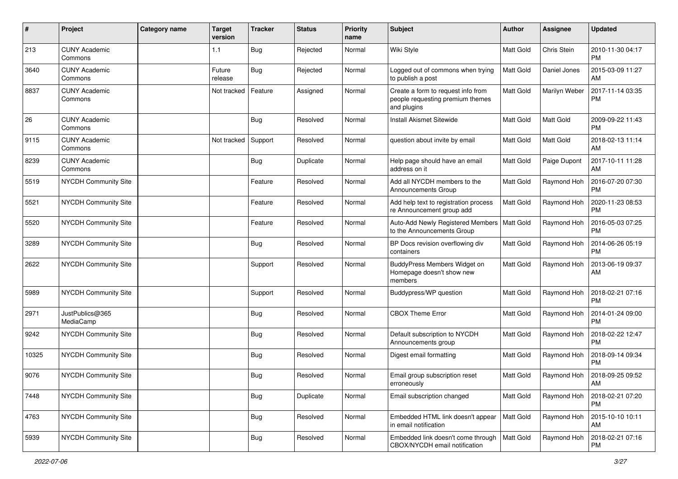| #     | Project                         | <b>Category name</b> | <b>Target</b><br>version | <b>Tracker</b> | <b>Status</b> | <b>Priority</b><br>name | <b>Subject</b>                                                                        | Author           | Assignee         | <b>Updated</b>                |
|-------|---------------------------------|----------------------|--------------------------|----------------|---------------|-------------------------|---------------------------------------------------------------------------------------|------------------|------------------|-------------------------------|
| 213   | <b>CUNY Academic</b><br>Commons |                      | 1.1                      | Bug            | Rejected      | Normal                  | Wiki Style                                                                            | <b>Matt Gold</b> | Chris Stein      | 2010-11-30 04:17<br><b>PM</b> |
| 3640  | <b>CUNY Academic</b><br>Commons |                      | Future<br>release        | <b>Bug</b>     | Rejected      | Normal                  | Logged out of commons when trying<br>to publish a post                                | Matt Gold        | Daniel Jones     | 2015-03-09 11:27<br>AM        |
| 8837  | <b>CUNY Academic</b><br>Commons |                      | Not tracked              | Feature        | Assigned      | Normal                  | Create a form to request info from<br>people requesting premium themes<br>and plugins | Matt Gold        | Marilyn Weber    | 2017-11-14 03:35<br><b>PM</b> |
| 26    | <b>CUNY Academic</b><br>Commons |                      |                          | <b>Bug</b>     | Resolved      | Normal                  | <b>Install Akismet Sitewide</b>                                                       | <b>Matt Gold</b> | Matt Gold        | 2009-09-22 11:43<br><b>PM</b> |
| 9115  | <b>CUNY Academic</b><br>Commons |                      | Not tracked              | Support        | Resolved      | Normal                  | question about invite by email                                                        | <b>Matt Gold</b> | <b>Matt Gold</b> | 2018-02-13 11:14<br>AM        |
| 8239  | <b>CUNY Academic</b><br>Commons |                      |                          | Bug            | Duplicate     | Normal                  | Help page should have an email<br>address on it                                       | <b>Matt Gold</b> | Paige Dupont     | 2017-10-11 11:28<br>AM        |
| 5519  | NYCDH Community Site            |                      |                          | Feature        | Resolved      | Normal                  | Add all NYCDH members to the<br>Announcements Group                                   | Matt Gold        | Raymond Hoh      | 2016-07-20 07:30<br><b>PM</b> |
| 5521  | NYCDH Community Site            |                      |                          | Feature        | Resolved      | Normal                  | Add help text to registration process<br>re Announcement group add                    | Matt Gold        | Raymond Hoh      | 2020-11-23 08:53<br><b>PM</b> |
| 5520  | <b>NYCDH Community Site</b>     |                      |                          | Feature        | Resolved      | Normal                  | Auto-Add Newly Registered Members   Matt Gold<br>to the Announcements Group           |                  | Raymond Hoh      | 2016-05-03 07:25<br><b>PM</b> |
| 3289  | NYCDH Community Site            |                      |                          | <b>Bug</b>     | Resolved      | Normal                  | BP Docs revision overflowing div<br>containers                                        | Matt Gold        | Raymond Hoh      | 2014-06-26 05:19<br><b>PM</b> |
| 2622  | <b>NYCDH Community Site</b>     |                      |                          | Support        | Resolved      | Normal                  | BuddyPress Members Widget on<br>Homepage doesn't show new<br>members                  | <b>Matt Gold</b> | Raymond Hoh      | 2013-06-19 09:37<br>AM        |
| 5989  | <b>NYCDH Community Site</b>     |                      |                          | Support        | Resolved      | Normal                  | Buddypress/WP question                                                                | <b>Matt Gold</b> | Raymond Hoh      | 2018-02-21 07:16<br><b>PM</b> |
| 2971  | JustPublics@365<br>MediaCamp    |                      |                          | <b>Bug</b>     | Resolved      | Normal                  | <b>CBOX Theme Error</b>                                                               | <b>Matt Gold</b> | Raymond Hoh      | 2014-01-24 09:00<br><b>PM</b> |
| 9242  | NYCDH Community Site            |                      |                          | Bug            | Resolved      | Normal                  | Default subscription to NYCDH<br>Announcements group                                  | <b>Matt Gold</b> | Raymond Hoh      | 2018-02-22 12:47<br><b>PM</b> |
| 10325 | <b>NYCDH Community Site</b>     |                      |                          | <b>Bug</b>     | Resolved      | Normal                  | Digest email formatting                                                               | <b>Matt Gold</b> | Raymond Hoh      | 2018-09-14 09:34<br><b>PM</b> |
| 9076  | NYCDH Community Site            |                      |                          | <b>Bug</b>     | Resolved      | Normal                  | Email group subscription reset<br>erroneously                                         | <b>Matt Gold</b> | Raymond Hoh      | 2018-09-25 09:52<br>AM        |
| 7448  | NYCDH Community Site            |                      |                          | <b>Bug</b>     | Duplicate     | Normal                  | Email subscription changed                                                            | Matt Gold        | Raymond Hoh      | 2018-02-21 07:20<br><b>PM</b> |
| 4763  | NYCDH Community Site            |                      |                          | <b>Bug</b>     | Resolved      | Normal                  | Embedded HTML link doesn't appear<br>in email notification                            | <b>Matt Gold</b> | Raymond Hoh      | 2015-10-10 10:11<br>AM        |
| 5939  | NYCDH Community Site            |                      |                          | <b>Bug</b>     | Resolved      | Normal                  | Embedded link doesn't come through<br>CBOX/NYCDH email notification                   | Matt Gold        | Raymond Hoh      | 2018-02-21 07:16<br><b>PM</b> |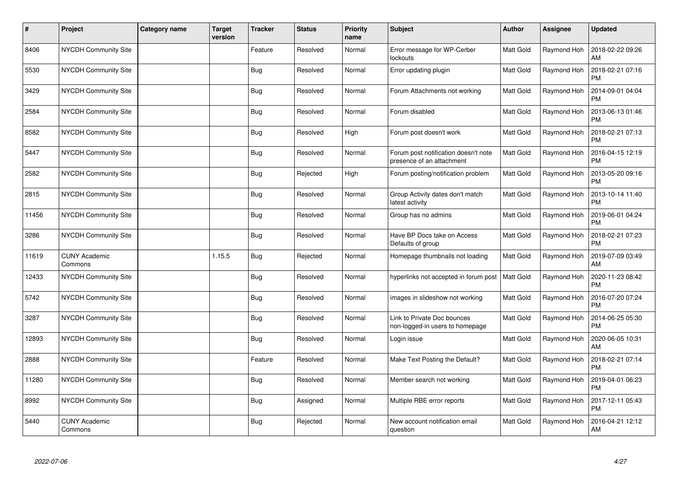| #     | Project                         | Category name | <b>Target</b><br>version | <b>Tracker</b> | <b>Status</b> | <b>Priority</b><br>name | <b>Subject</b>                                                    | <b>Author</b>    | Assignee    | <b>Updated</b>                |
|-------|---------------------------------|---------------|--------------------------|----------------|---------------|-------------------------|-------------------------------------------------------------------|------------------|-------------|-------------------------------|
| 8406  | <b>NYCDH Community Site</b>     |               |                          | Feature        | Resolved      | Normal                  | Error message for WP-Cerber<br>lockouts                           | <b>Matt Gold</b> | Raymond Hoh | 2018-02-22 09:26<br><b>AM</b> |
| 5530  | NYCDH Community Site            |               |                          | <b>Bug</b>     | Resolved      | Normal                  | Error updating plugin                                             | <b>Matt Gold</b> | Raymond Hoh | 2018-02-21 07:16<br><b>PM</b> |
| 3429  | <b>NYCDH Community Site</b>     |               |                          | <b>Bug</b>     | Resolved      | Normal                  | Forum Attachments not working                                     | <b>Matt Gold</b> | Raymond Hoh | 2014-09-01 04:04<br><b>PM</b> |
| 2584  | NYCDH Community Site            |               |                          | <b>Bug</b>     | Resolved      | Normal                  | Forum disabled                                                    | Matt Gold        | Raymond Hoh | 2013-06-13 01:46<br><b>PM</b> |
| 8582  | NYCDH Community Site            |               |                          | <b>Bug</b>     | Resolved      | High                    | Forum post doesn't work                                           | <b>Matt Gold</b> | Raymond Hoh | 2018-02-21 07:13<br><b>PM</b> |
| 5447  | NYCDH Community Site            |               |                          | <b>Bug</b>     | Resolved      | Normal                  | Forum post notification doesn't note<br>presence of an attachment | Matt Gold        | Raymond Hoh | 2016-04-15 12:19<br><b>PM</b> |
| 2582  | <b>NYCDH Community Site</b>     |               |                          | <b>Bug</b>     | Rejected      | High                    | Forum posting/notification problem                                | <b>Matt Gold</b> | Raymond Hoh | 2013-05-20 09:16<br><b>PM</b> |
| 2815  | NYCDH Community Site            |               |                          | <b>Bug</b>     | Resolved      | Normal                  | Group Activity dates don't match<br>latest activity               | Matt Gold        | Raymond Hoh | 2013-10-14 11:40<br><b>PM</b> |
| 11456 | NYCDH Community Site            |               |                          | <b>Bug</b>     | Resolved      | Normal                  | Group has no admins                                               | Matt Gold        | Raymond Hoh | 2019-06-01 04:24<br><b>PM</b> |
| 3286  | <b>NYCDH Community Site</b>     |               |                          | <b>Bug</b>     | Resolved      | Normal                  | Have BP Docs take on Access<br>Defaults of group                  | <b>Matt Gold</b> | Raymond Hoh | 2018-02-21 07:23<br><b>PM</b> |
| 11619 | <b>CUNY Academic</b><br>Commons |               | 1.15.5                   | <b>Bug</b>     | Rejected      | Normal                  | Homepage thumbnails not loading                                   | Matt Gold        | Raymond Hoh | 2019-07-09 03:49<br>AM        |
| 12433 | <b>NYCDH Community Site</b>     |               |                          | Bug            | Resolved      | Normal                  | hyperlinks not accepted in forum post                             | <b>Matt Gold</b> | Raymond Hoh | 2020-11-23 08:42<br><b>PM</b> |
| 5742  | NYCDH Community Site            |               |                          | <b>Bug</b>     | Resolved      | Normal                  | images in slideshow not working                                   | Matt Gold        | Raymond Hoh | 2016-07-20 07:24<br><b>PM</b> |
| 3287  | <b>NYCDH Community Site</b>     |               |                          | Bug            | Resolved      | Normal                  | Link to Private Doc bounces<br>non-logged-in users to homepage    | <b>Matt Gold</b> | Raymond Hoh | 2014-06-25 05:30<br><b>PM</b> |
| 12893 | NYCDH Community Site            |               |                          | <b>Bug</b>     | Resolved      | Normal                  | Login issue                                                       | <b>Matt Gold</b> | Raymond Hoh | 2020-06-05 10:31<br>AM        |
| 2888  | <b>NYCDH Community Site</b>     |               |                          | Feature        | Resolved      | Normal                  | Make Text Posting the Default?                                    | Matt Gold        | Raymond Hoh | 2018-02-21 07:14<br><b>PM</b> |
| 11280 | NYCDH Community Site            |               |                          | <b>Bug</b>     | Resolved      | Normal                  | Member search not working                                         | Matt Gold        | Raymond Hoh | 2019-04-01 06:23<br><b>PM</b> |
| 8992  | <b>NYCDH Community Site</b>     |               |                          | <b>Bug</b>     | Assigned      | Normal                  | Multiple RBE error reports                                        | <b>Matt Gold</b> | Raymond Hoh | 2017-12-11 05:43<br><b>PM</b> |
| 5440  | <b>CUNY Academic</b><br>Commons |               |                          | <b>Bug</b>     | Rejected      | Normal                  | New account notification email<br>question                        | Matt Gold        | Raymond Hoh | 2016-04-21 12:12<br>AM        |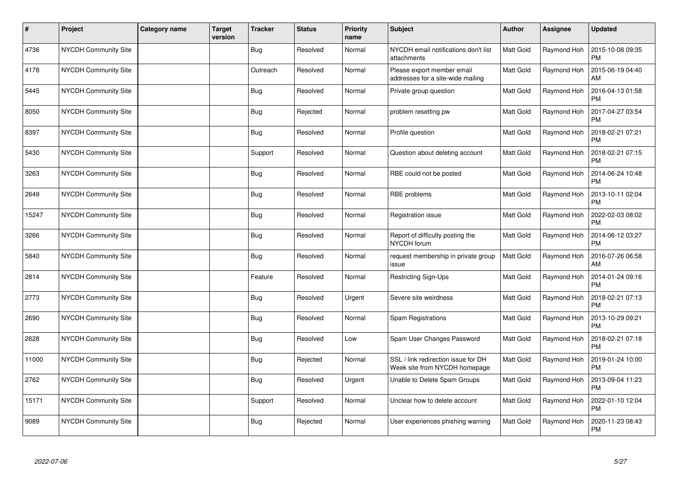| $\sharp$ | Project                     | <b>Category name</b> | <b>Target</b><br>version | <b>Tracker</b> | <b>Status</b> | <b>Priority</b><br>name | <b>Subject</b>                                                       | Author           | Assignee    | <b>Updated</b>                |
|----------|-----------------------------|----------------------|--------------------------|----------------|---------------|-------------------------|----------------------------------------------------------------------|------------------|-------------|-------------------------------|
| 4736     | NYCDH Community Site        |                      |                          | Bug            | Resolved      | Normal                  | NYCDH email notifications don't list<br>attachments                  | Matt Gold        | Raymond Hoh | 2015-10-08 09:35<br><b>PM</b> |
| 4178     | NYCDH Community Site        |                      |                          | Outreach       | Resolved      | Normal                  | Please export member email<br>addresses for a site-wide mailing      | <b>Matt Gold</b> | Raymond Hoh | 2015-06-19 04:40<br>AM        |
| 5445     | NYCDH Community Site        |                      |                          | Bug            | Resolved      | Normal                  | Private group question                                               | <b>Matt Gold</b> | Raymond Hoh | 2016-04-13 01:58<br><b>PM</b> |
| 8050     | <b>NYCDH Community Site</b> |                      |                          | <b>Bug</b>     | Rejected      | Normal                  | problem resetting pw                                                 | <b>Matt Gold</b> | Raymond Hoh | 2017-04-27 03:54<br><b>PM</b> |
| 8397     | NYCDH Community Site        |                      |                          | <b>Bug</b>     | Resolved      | Normal                  | Profile question                                                     | Matt Gold        | Raymond Hoh | 2018-02-21 07:21<br><b>PM</b> |
| 5430     | NYCDH Community Site        |                      |                          | Support        | Resolved      | Normal                  | Question about deleting account                                      | <b>Matt Gold</b> | Raymond Hoh | 2018-02-21 07:15<br><b>PM</b> |
| 3263     | NYCDH Community Site        |                      |                          | <b>Bug</b>     | Resolved      | Normal                  | RBE could not be posted                                              | Matt Gold        | Raymond Hoh | 2014-06-24 10:48<br><b>PM</b> |
| 2649     | <b>NYCDH Community Site</b> |                      |                          | Bug            | Resolved      | Normal                  | RBE problems                                                         | <b>Matt Gold</b> | Raymond Hoh | 2013-10-11 02:04<br><b>PM</b> |
| 15247    | NYCDH Community Site        |                      |                          | <b>Bug</b>     | Resolved      | Normal                  | Registration issue                                                   | <b>Matt Gold</b> | Raymond Hoh | 2022-02-03 08:02<br><b>PM</b> |
| 3266     | NYCDH Community Site        |                      |                          | <b>Bug</b>     | Resolved      | Normal                  | Report of difficulty posting the<br>NYCDH forum                      | Matt Gold        | Raymond Hoh | 2014-06-12 03:27<br><b>PM</b> |
| 5840     | <b>NYCDH Community Site</b> |                      |                          | Bug            | Resolved      | Normal                  | request membership in private group<br>issue                         | Matt Gold        | Raymond Hoh | 2016-07-26 06:58<br>AM        |
| 2814     | NYCDH Community Site        |                      |                          | Feature        | Resolved      | Normal                  | Restricting Sign-Ups                                                 | Matt Gold        | Raymond Hoh | 2014-01-24 09:16<br><b>PM</b> |
| 2773     | NYCDH Community Site        |                      |                          | <b>Bug</b>     | Resolved      | Urgent                  | Severe site weirdness                                                | <b>Matt Gold</b> | Raymond Hoh | 2018-02-21 07:13<br><b>PM</b> |
| 2690     | NYCDH Community Site        |                      |                          | <b>Bug</b>     | Resolved      | Normal                  | Spam Registrations                                                   | Matt Gold        | Raymond Hoh | 2013-10-29 09:21<br><b>PM</b> |
| 2628     | <b>NYCDH Community Site</b> |                      |                          | <b>Bug</b>     | Resolved      | Low                     | Spam User Changes Password                                           | Matt Gold        | Raymond Hoh | 2018-02-21 07:18<br><b>PM</b> |
| 11000    | <b>NYCDH Community Site</b> |                      |                          | Bug            | Rejected      | Normal                  | SSL / link redirection issue for DH<br>Week site from NYCDH homepage | Matt Gold        | Raymond Hoh | 2019-01-24 10:00<br><b>PM</b> |
| 2762     | NYCDH Community Site        |                      |                          | <b>Bug</b>     | Resolved      | Urgent                  | Unable to Delete Spam Groups                                         | Matt Gold        | Raymond Hoh | 2013-09-04 11:23<br><b>PM</b> |
| 15171    | NYCDH Community Site        |                      |                          | Support        | Resolved      | Normal                  | Unclear how to delete account                                        | Matt Gold        | Raymond Hoh | 2022-01-10 12:04<br><b>PM</b> |
| 9089     | NYCDH Community Site        |                      |                          | Bug            | Rejected      | Normal                  | User experiences phishing warning                                    | Matt Gold        | Raymond Hoh | 2020-11-23 08:43<br><b>PM</b> |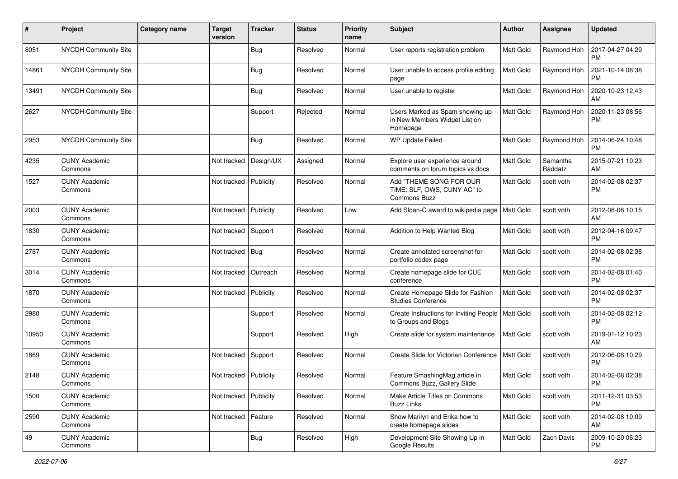| #     | Project                         | <b>Category name</b> | <b>Target</b><br>version | <b>Tracker</b> | <b>Status</b> | <b>Priority</b><br>name | Subject                                                                      | <b>Author</b>    | <b>Assignee</b>     | <b>Updated</b>                |
|-------|---------------------------------|----------------------|--------------------------|----------------|---------------|-------------------------|------------------------------------------------------------------------------|------------------|---------------------|-------------------------------|
| 8051  | <b>NYCDH Community Site</b>     |                      |                          | <b>Bug</b>     | Resolved      | Normal                  | User reports registration problem                                            | Matt Gold        | Raymond Hoh         | 2017-04-27 04:29<br><b>PM</b> |
| 14861 | <b>NYCDH Community Site</b>     |                      |                          | Bug            | Resolved      | Normal                  | User unable to access profile editing<br>page                                | Matt Gold        | Raymond Hoh         | 2021-10-14 08:38<br><b>PM</b> |
| 13491 | <b>NYCDH Community Site</b>     |                      |                          | <b>Bug</b>     | Resolved      | Normal                  | User unable to register                                                      | <b>Matt Gold</b> | Raymond Hoh         | 2020-10-23 12:43<br>AM        |
| 2627  | NYCDH Community Site            |                      |                          | Support        | Rejected      | Normal                  | Users Marked as Spam showing up<br>in New Members Widget List on<br>Homepage | <b>Matt Gold</b> | Raymond Hoh         | 2020-11-23 08:56<br><b>PM</b> |
| 2953  | <b>NYCDH Community Site</b>     |                      |                          | <b>Bug</b>     | Resolved      | Normal                  | WP Update Failed                                                             | Matt Gold        | Raymond Hoh         | 2014-06-24 10:48<br><b>PM</b> |
| 4235  | <b>CUNY Academic</b><br>Commons |                      | Not tracked              | Design/UX      | Assigned      | Normal                  | Explore user experience around<br>comments on forum topics vs docs           | <b>Matt Gold</b> | Samantha<br>Raddatz | 2015-07-21 10:23<br>AM        |
| 1527  | <b>CUNY Academic</b><br>Commons |                      | Not tracked              | Publicity      | Resolved      | Normal                  | Add "THEME SONG FOR OUR<br>TIME: SLF, OWS, CUNY AC" to<br>Commons Buzz       | <b>Matt Gold</b> | scott voth          | 2014-02-08 02:37<br><b>PM</b> |
| 2003  | <b>CUNY Academic</b><br>Commons |                      | Not tracked              | Publicity      | Resolved      | Low                     | Add Sloan-C award to wikipedia page                                          | <b>Matt Gold</b> | scott voth          | 2012-08-06 10:15<br>AM        |
| 1830  | <b>CUNY Academic</b><br>Commons |                      | Not tracked              | Support        | Resolved      | Normal                  | Addition to Help Wanted Blog                                                 | Matt Gold        | scott voth          | 2012-04-16 09:47<br><b>PM</b> |
| 2787  | <b>CUNY Academic</b><br>Commons |                      | Not tracked              | <b>Bug</b>     | Resolved      | Normal                  | Create annotated screenshot for<br>portfolio codex page                      | <b>Matt Gold</b> | scott voth          | 2014-02-08 02:38<br><b>PM</b> |
| 3014  | <b>CUNY Academic</b><br>Commons |                      | Not tracked              | Outreach       | Resolved      | Normal                  | Create homepage slide for CUE<br>conference                                  | <b>Matt Gold</b> | scott voth          | 2014-02-08 01:40<br><b>PM</b> |
| 1870  | <b>CUNY Academic</b><br>Commons |                      | Not tracked              | Publicity      | Resolved      | Normal                  | Create Homepage Slide for Fashion<br><b>Studies Conference</b>               | Matt Gold        | scott voth          | 2014-02-08 02:37<br><b>PM</b> |
| 2980  | <b>CUNY Academic</b><br>Commons |                      |                          | Support        | Resolved      | Normal                  | Create Instructions for Inviting People   Matt Gold<br>to Groups and Blogs   |                  | scott voth          | 2014-02-08 02:12<br><b>PM</b> |
| 10950 | <b>CUNY Academic</b><br>Commons |                      |                          | Support        | Resolved      | High                    | Create slide for system maintenance                                          | Matt Gold        | scott voth          | 2019-01-12 10:23<br>AM        |
| 1869  | <b>CUNY Academic</b><br>Commons |                      | Not tracked              | Support        | Resolved      | Normal                  | Create Slide for Victorian Conference                                        | Matt Gold        | scott voth          | 2012-06-08 10:29<br><b>PM</b> |
| 2148  | <b>CUNY Academic</b><br>Commons |                      | Not tracked              | Publicity      | Resolved      | Normal                  | Feature SmashingMag article in<br>Commons Buzz, Gallery Slide                | Matt Gold        | scott voth          | 2014-02-08 02:38<br>PM        |
| 1500  | <b>CUNY Academic</b><br>Commons |                      | Not tracked              | Publicity      | Resolved      | Normal                  | Make Article Titles on Commons<br><b>Buzz Links</b>                          | Matt Gold        | scott voth          | 2011-12-31 03:53<br><b>PM</b> |
| 2590  | <b>CUNY Academic</b><br>Commons |                      | Not tracked              | Feature        | Resolved      | Normal                  | Show Marilyn and Erika how to<br>create homepage slides                      | Matt Gold        | scott voth          | 2014-02-08 10:09<br>AM        |
| 49    | <b>CUNY Academic</b><br>Commons |                      |                          | <b>Bug</b>     | Resolved      | High                    | Development Site Showing Up in<br>Google Results                             | Matt Gold        | Zach Davis          | 2009-10-20 06:23<br><b>PM</b> |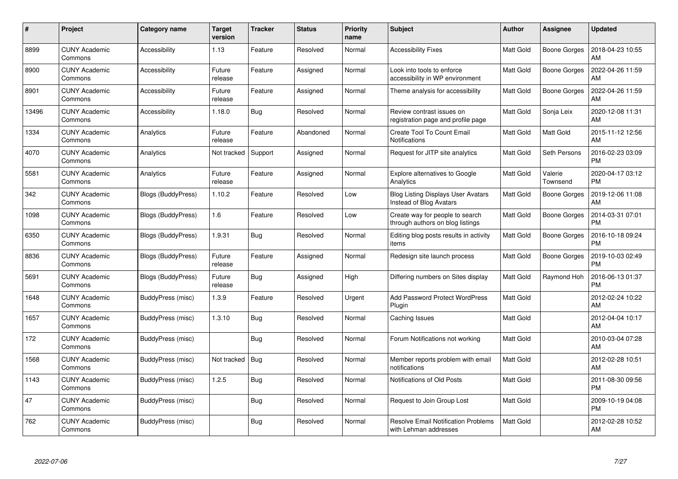| $\#$  | Project                         | Category name             | <b>Target</b><br>version | <b>Tracker</b> | <b>Status</b> | <b>Priority</b><br>name | <b>Subject</b>                                                       | <b>Author</b>    | Assignee            | <b>Updated</b>                |
|-------|---------------------------------|---------------------------|--------------------------|----------------|---------------|-------------------------|----------------------------------------------------------------------|------------------|---------------------|-------------------------------|
| 8899  | <b>CUNY Academic</b><br>Commons | Accessibility             | 1.13                     | Feature        | Resolved      | Normal                  | <b>Accessibility Fixes</b>                                           | Matt Gold        | Boone Gorges        | 2018-04-23 10:55<br>AM        |
| 8900  | <b>CUNY Academic</b><br>Commons | Accessibility             | Future<br>release        | Feature        | Assigned      | Normal                  | Look into tools to enforce<br>accessibility in WP environment        | <b>Matt Gold</b> | Boone Gorges        | 2022-04-26 11:59<br>AM        |
| 8901  | <b>CUNY Academic</b><br>Commons | Accessibility             | Future<br>release        | Feature        | Assigned      | Normal                  | Theme analysis for accessibility                                     | <b>Matt Gold</b> | Boone Gorges        | 2022-04-26 11:59<br>AM        |
| 13496 | <b>CUNY Academic</b><br>Commons | Accessibility             | 1.18.0                   | Bug            | Resolved      | Normal                  | Review contrast issues on<br>registration page and profile page      | <b>Matt Gold</b> | Sonja Leix          | 2020-12-08 11:31<br>AM        |
| 1334  | <b>CUNY Academic</b><br>Commons | Analytics                 | Future<br>release        | Feature        | Abandoned     | Normal                  | Create Tool To Count Email<br><b>Notifications</b>                   | Matt Gold        | <b>Matt Gold</b>    | 2015-11-12 12:56<br>AM        |
| 4070  | <b>CUNY Academic</b><br>Commons | Analytics                 | Not tracked              | Support        | Assigned      | Normal                  | Request for JITP site analytics                                      | <b>Matt Gold</b> | Seth Persons        | 2016-02-23 03:09<br><b>PM</b> |
| 5581  | <b>CUNY Academic</b><br>Commons | Analytics                 | Future<br>release        | Feature        | Assigned      | Normal                  | Explore alternatives to Google<br>Analytics                          | <b>Matt Gold</b> | Valerie<br>Townsend | 2020-04-17 03:12<br><b>PM</b> |
| 342   | <b>CUNY Academic</b><br>Commons | Blogs (BuddyPress)        | 1.10.2                   | Feature        | Resolved      | Low                     | <b>Blog Listing Displays User Avatars</b><br>Instead of Blog Avatars | Matt Gold        | Boone Gorges        | 2019-12-06 11:08<br>AM        |
| 1098  | <b>CUNY Academic</b><br>Commons | Blogs (BuddyPress)        | 1.6                      | Feature        | Resolved      | Low                     | Create way for people to search<br>through authors on blog listings  | <b>Matt Gold</b> | <b>Boone Gorges</b> | 2014-03-31 07:01<br><b>PM</b> |
| 6350  | <b>CUNY Academic</b><br>Commons | Blogs (BuddyPress)        | 1.9.31                   | Bug            | Resolved      | Normal                  | Editing blog posts results in activity<br>items                      | Matt Gold        | <b>Boone Gorges</b> | 2016-10-18 09:24<br><b>PM</b> |
| 8836  | <b>CUNY Academic</b><br>Commons | Blogs (BuddyPress)        | Future<br>release        | Feature        | Assigned      | Normal                  | Redesign site launch process                                         | Matt Gold        | <b>Boone Gorges</b> | 2019-10-03 02:49<br><b>PM</b> |
| 5691  | <b>CUNY Academic</b><br>Commons | <b>Blogs (BuddyPress)</b> | Future<br>release        | Bug            | Assigned      | High                    | Differing numbers on Sites display                                   | Matt Gold        | Raymond Hoh         | 2016-06-13 01:37<br><b>PM</b> |
| 1648  | <b>CUNY Academic</b><br>Commons | BuddyPress (misc)         | 1.3.9                    | Feature        | Resolved      | Urgent                  | <b>Add Password Protect WordPress</b><br>Plugin                      | Matt Gold        |                     | 2012-02-24 10:22<br>AM        |
| 1657  | <b>CUNY Academic</b><br>Commons | BuddyPress (misc)         | 1.3.10                   | Bug            | Resolved      | Normal                  | Caching Issues                                                       | <b>Matt Gold</b> |                     | 2012-04-04 10:17<br>AM        |
| 172   | <b>CUNY Academic</b><br>Commons | BuddyPress (misc)         |                          | Bug            | Resolved      | Normal                  | Forum Notifications not working                                      | Matt Gold        |                     | 2010-03-04 07:28<br>AM        |
| 1568  | <b>CUNY Academic</b><br>Commons | BuddyPress (misc)         | Not tracked              | <b>Bug</b>     | Resolved      | Normal                  | Member reports problem with email<br>notifications                   | <b>Matt Gold</b> |                     | 2012-02-28 10:51<br>AM        |
| 1143  | <b>CUNY Academic</b><br>Commons | BuddyPress (misc)         | 1.2.5                    | Bug            | Resolved      | Normal                  | Notifications of Old Posts                                           | <b>Matt Gold</b> |                     | 2011-08-30 09:56<br><b>PM</b> |
| 47    | <b>CUNY Academic</b><br>Commons | BuddyPress (misc)         |                          | Bug            | Resolved      | Normal                  | Request to Join Group Lost                                           | <b>Matt Gold</b> |                     | 2009-10-19 04:08<br><b>PM</b> |
| 762   | <b>CUNY Academic</b><br>Commons | BuddyPress (misc)         |                          | <b>Bug</b>     | Resolved      | Normal                  | <b>Resolve Email Notification Problems</b><br>with Lehman addresses  | Matt Gold        |                     | 2012-02-28 10:52<br>AM        |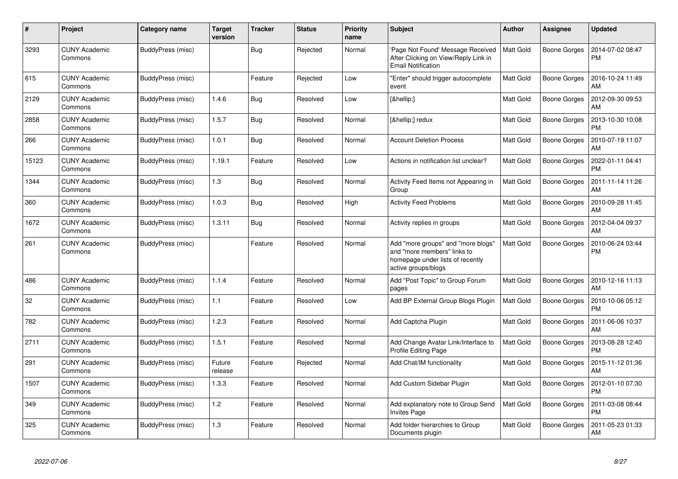| $\#$  | Project                         | Category name     | <b>Target</b><br>version | <b>Tracker</b> | <b>Status</b> | <b>Priority</b><br>name | <b>Subject</b>                                                                                                               | <b>Author</b>    | Assignee            | <b>Updated</b>                |
|-------|---------------------------------|-------------------|--------------------------|----------------|---------------|-------------------------|------------------------------------------------------------------------------------------------------------------------------|------------------|---------------------|-------------------------------|
| 3293  | <b>CUNY Academic</b><br>Commons | BuddyPress (misc) |                          | <b>Bug</b>     | Rejected      | Normal                  | 'Page Not Found' Message Received<br>After Clicking on View/Reply Link in<br><b>Email Notification</b>                       | Matt Gold        | Boone Gorges        | 2014-07-02 08:47<br><b>PM</b> |
| 615   | <b>CUNY Academic</b><br>Commons | BuddyPress (misc) |                          | Feature        | Rejected      | Low                     | "Enter" should trigger autocomplete<br>event                                                                                 | Matt Gold        | Boone Gorges        | 2016-10-24 11:49<br>AM        |
| 2129  | <b>CUNY Academic</b><br>Commons | BuddyPress (misc) | 1.4.6                    | Bug            | Resolved      | Low                     | […]                                                                                                                          | Matt Gold        | Boone Gorges        | 2012-09-30 09:53<br>AM        |
| 2858  | <b>CUNY Academic</b><br>Commons | BuddyPress (misc) | 1.5.7                    | Bug            | Resolved      | Normal                  | […] redux                                                                                                                    | <b>Matt Gold</b> | <b>Boone Gorges</b> | 2013-10-30 10:08<br><b>PM</b> |
| 266   | CUNY Academic<br>Commons        | BuddyPress (misc) | 1.0.1                    | Bug            | Resolved      | Normal                  | <b>Account Deletion Process</b>                                                                                              | <b>Matt Gold</b> | Boone Gorges        | 2010-07-19 11:07<br>AM        |
| 15123 | <b>CUNY Academic</b><br>Commons | BuddyPress (misc) | 1.19.1                   | Feature        | Resolved      | Low                     | Actions in notification list unclear?                                                                                        | <b>Matt Gold</b> | Boone Gorges        | 2022-01-11 04:41<br><b>PM</b> |
| 1344  | <b>CUNY Academic</b><br>Commons | BuddyPress (misc) | 1.3                      | <b>Bug</b>     | Resolved      | Normal                  | Activity Feed Items not Appearing in<br>Group                                                                                | Matt Gold        | Boone Gorges        | 2011-11-14 11:26<br>AM        |
| 360   | <b>CUNY Academic</b><br>Commons | BuddyPress (misc) | 1.0.3                    | <b>Bug</b>     | Resolved      | High                    | <b>Activity Feed Problems</b>                                                                                                | Matt Gold        | Boone Gorges        | 2010-09-28 11:45<br>AM        |
| 1672  | <b>CUNY Academic</b><br>Commons | BuddyPress (misc) | 1.3.11                   | Bug            | Resolved      | Normal                  | Activity replies in groups                                                                                                   | Matt Gold        | Boone Gorges        | 2012-04-04 09:37<br>AM        |
| 261   | <b>CUNY Academic</b><br>Commons | BuddyPress (misc) |                          | Feature        | Resolved      | Normal                  | Add "more groups" and "more blogs"<br>and "more members" links to<br>homepage under lists of recently<br>active groups/blogs | <b>Matt Gold</b> | <b>Boone Gorges</b> | 2010-06-24 03:44<br>PM        |
| 486   | <b>CUNY Academic</b><br>Commons | BuddyPress (misc) | 1.1.4                    | Feature        | Resolved      | Normal                  | Add "Post Topic" to Group Forum<br>pages                                                                                     | <b>Matt Gold</b> | <b>Boone Gorges</b> | 2010-12-16 11:13<br>AM        |
| 32    | <b>CUNY Academic</b><br>Commons | BuddyPress (misc) | 1.1                      | Feature        | Resolved      | Low                     | Add BP External Group Blogs Plugin                                                                                           | <b>Matt Gold</b> | Boone Gorges        | 2010-10-06 05:12<br><b>PM</b> |
| 782   | <b>CUNY Academic</b><br>Commons | BuddyPress (misc) | 1.2.3                    | Feature        | Resolved      | Normal                  | Add Captcha Plugin                                                                                                           | Matt Gold        | Boone Gorges        | 2011-06-06 10:37<br>AM        |
| 2711  | <b>CUNY Academic</b><br>Commons | BuddyPress (misc) | 1.5.1                    | Feature        | Resolved      | Normal                  | Add Change Avatar Link/Interface to<br>Profile Editing Page                                                                  | <b>Matt Gold</b> | <b>Boone Gorges</b> | 2013-08-28 12:40<br><b>PM</b> |
| 291   | CUNY Academic<br>Commons        | BuddyPress (misc) | Future<br>release        | Feature        | Rejected      | Normal                  | Add Chat/IM functionality                                                                                                    | <b>Matt Gold</b> | Boone Gorges        | 2015-11-12 01:36<br>AM        |
| 1507  | <b>CUNY Academic</b><br>Commons | BuddyPress (misc) | 1.3.3                    | Feature        | Resolved      | Normal                  | Add Custom Sidebar Plugin                                                                                                    | <b>Matt Gold</b> | Boone Gorges        | 2012-01-10 07:30<br><b>PM</b> |
| 349   | <b>CUNY Academic</b><br>Commons | BuddyPress (misc) | 1.2                      | Feature        | Resolved      | Normal                  | Add explanatory note to Group Send<br><b>Invites Page</b>                                                                    | <b>Matt Gold</b> | Boone Gorges        | 2011-03-08 08:44<br><b>PM</b> |
| 325   | <b>CUNY Academic</b><br>Commons | BuddyPress (misc) | 1.3                      | Feature        | Resolved      | Normal                  | Add folder hierarchies to Group<br>Documents plugin                                                                          | Matt Gold        | Boone Gorges        | 2011-05-23 01:33<br>AM        |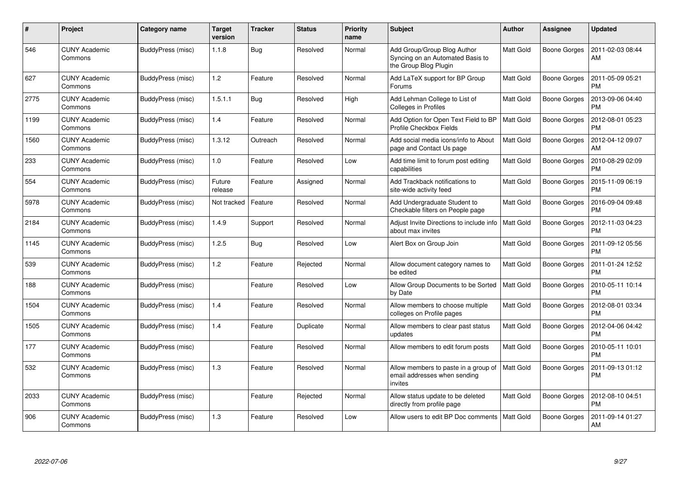| $\#$ | Project                         | <b>Category name</b> | <b>Target</b><br>version | <b>Tracker</b> | <b>Status</b> | <b>Priority</b><br>name | <b>Subject</b>                                                                           | <b>Author</b>    | <b>Assignee</b>     | <b>Updated</b>                |
|------|---------------------------------|----------------------|--------------------------|----------------|---------------|-------------------------|------------------------------------------------------------------------------------------|------------------|---------------------|-------------------------------|
| 546  | <b>CUNY Academic</b><br>Commons | BuddyPress (misc)    | 1.1.8                    | <b>Bug</b>     | Resolved      | Normal                  | Add Group/Group Blog Author<br>Syncing on an Automated Basis to<br>the Group Blog Plugin | Matt Gold        | Boone Gorges        | 2011-02-03 08:44<br>AM        |
| 627  | <b>CUNY Academic</b><br>Commons | BuddyPress (misc)    | 1.2                      | Feature        | Resolved      | Normal                  | Add LaTeX support for BP Group<br>Forums                                                 | Matt Gold        | Boone Gorges        | 2011-05-09 05:21<br><b>PM</b> |
| 2775 | <b>CUNY Academic</b><br>Commons | BuddyPress (misc)    | 1.5.1.1                  | <b>Bug</b>     | Resolved      | High                    | Add Lehman College to List of<br>Colleges in Profiles                                    | <b>Matt Gold</b> | Boone Gorges        | 2013-09-06 04:40<br><b>PM</b> |
| 1199 | <b>CUNY Academic</b><br>Commons | BuddyPress (misc)    | 1.4                      | Feature        | Resolved      | Normal                  | Add Option for Open Text Field to BP<br>Profile Checkbox Fields                          | <b>Matt Gold</b> | Boone Gorges        | 2012-08-01 05:23<br><b>PM</b> |
| 1560 | <b>CUNY Academic</b><br>Commons | BuddyPress (misc)    | 1.3.12                   | Outreach       | Resolved      | Normal                  | Add social media icons/info to About<br>page and Contact Us page                         | Matt Gold        | <b>Boone Gorges</b> | 2012-04-12 09:07<br>AM        |
| 233  | <b>CUNY Academic</b><br>Commons | BuddyPress (misc)    | 1.0                      | Feature        | Resolved      | Low                     | Add time limit to forum post editing<br>capabilities                                     | Matt Gold        | <b>Boone Gorges</b> | 2010-08-29 02:09<br><b>PM</b> |
| 554  | <b>CUNY Academic</b><br>Commons | BuddyPress (misc)    | Future<br>release        | Feature        | Assigned      | Normal                  | Add Trackback notifications to<br>site-wide activity feed                                | Matt Gold        | Boone Gorges        | 2015-11-09 06:19<br><b>PM</b> |
| 5978 | <b>CUNY Academic</b><br>Commons | BuddyPress (misc)    | Not tracked              | Feature        | Resolved      | Normal                  | Add Undergraduate Student to<br>Checkable filters on People page                         | <b>Matt Gold</b> | <b>Boone Gorges</b> | 2016-09-04 09:48<br><b>PM</b> |
| 2184 | <b>CUNY Academic</b><br>Commons | BuddyPress (misc)    | 1.4.9                    | Support        | Resolved      | Normal                  | Adjust Invite Directions to include info<br>about max invites                            | <b>Matt Gold</b> | Boone Gorges        | 2012-11-03 04:23<br><b>PM</b> |
| 1145 | <b>CUNY Academic</b><br>Commons | BuddyPress (misc)    | 1.2.5                    | <b>Bug</b>     | Resolved      | Low                     | Alert Box on Group Join                                                                  | Matt Gold        | Boone Gorges        | 2011-09-12 05:56<br><b>PM</b> |
| 539  | <b>CUNY Academic</b><br>Commons | BuddyPress (misc)    | 1.2                      | Feature        | Rejected      | Normal                  | Allow document category names to<br>be edited                                            | <b>Matt Gold</b> | Boone Gorges        | 2011-01-24 12:52<br><b>PM</b> |
| 188  | <b>CUNY Academic</b><br>Commons | BuddyPress (misc)    |                          | Feature        | Resolved      | Low                     | Allow Group Documents to be Sorted<br>by Date                                            | <b>Matt Gold</b> | Boone Gorges        | 2010-05-11 10:14<br><b>PM</b> |
| 1504 | <b>CUNY Academic</b><br>Commons | BuddyPress (misc)    | 1.4                      | Feature        | Resolved      | Normal                  | Allow members to choose multiple<br>colleges on Profile pages                            | <b>Matt Gold</b> | <b>Boone Gorges</b> | 2012-08-01 03:34<br><b>PM</b> |
| 1505 | <b>CUNY Academic</b><br>Commons | BuddyPress (misc)    | 1.4                      | Feature        | Duplicate     | Normal                  | Allow members to clear past status<br>updates                                            | <b>Matt Gold</b> | <b>Boone Gorges</b> | 2012-04-06 04:42<br><b>PM</b> |
| 177  | <b>CUNY Academic</b><br>Commons | BuddyPress (misc)    |                          | Feature        | Resolved      | Normal                  | Allow members to edit forum posts                                                        | Matt Gold        | Boone Gorges        | 2010-05-11 10:01<br><b>PM</b> |
| 532  | <b>CUNY Academic</b><br>Commons | BuddyPress (misc)    | 1.3                      | Feature        | Resolved      | Normal                  | Allow members to paste in a group of<br>email addresses when sending<br>invites          | <b>Matt Gold</b> | Boone Gorges        | 2011-09-13 01:12<br><b>PM</b> |
| 2033 | <b>CUNY Academic</b><br>Commons | BuddyPress (misc)    |                          | Feature        | Rejected      | Normal                  | Allow status update to be deleted<br>directly from profile page                          | Matt Gold        | Boone Gorges        | 2012-08-10 04:51<br><b>PM</b> |
| 906  | <b>CUNY Academic</b><br>Commons | BuddyPress (misc)    | 1.3                      | Feature        | Resolved      | Low                     | Allow users to edit BP Doc comments                                                      | <b>Matt Gold</b> | Boone Gorges        | 2011-09-14 01:27<br>AM        |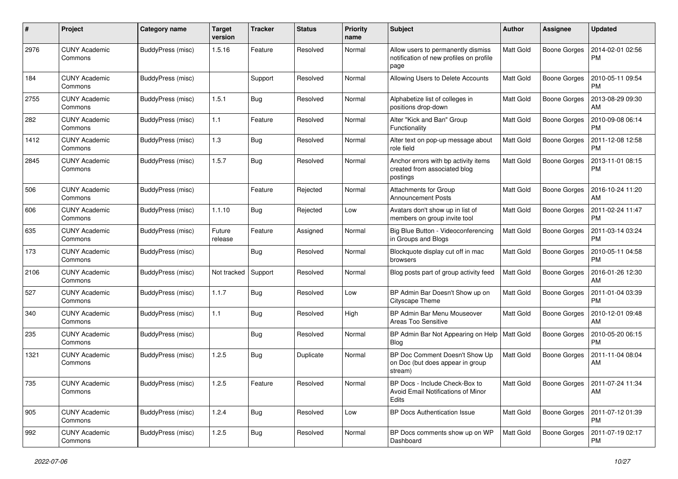| #    | Project                         | Category name     | <b>Target</b><br>version | <b>Tracker</b> | <b>Status</b> | <b>Priority</b><br>name | Subject                                                                               | Author           | Assignee            | <b>Updated</b>                        |
|------|---------------------------------|-------------------|--------------------------|----------------|---------------|-------------------------|---------------------------------------------------------------------------------------|------------------|---------------------|---------------------------------------|
| 2976 | <b>CUNY Academic</b><br>Commons | BuddyPress (misc) | 1.5.16                   | Feature        | Resolved      | Normal                  | Allow users to permanently dismiss<br>notification of new profiles on profile<br>page | Matt Gold        | <b>Boone Gorges</b> | 2014-02-01 02:56<br><b>PM</b>         |
| 184  | <b>CUNY Academic</b><br>Commons | BuddyPress (misc) |                          | Support        | Resolved      | Normal                  | Allowing Users to Delete Accounts                                                     | <b>Matt Gold</b> | <b>Boone Gorges</b> | 2010-05-11 09:54<br><b>PM</b>         |
| 2755 | <b>CUNY Academic</b><br>Commons | BuddyPress (misc) | 1.5.1                    | Bug            | Resolved      | Normal                  | Alphabetize list of colleges in<br>positions drop-down                                | <b>Matt Gold</b> | <b>Boone Gorges</b> | 2013-08-29 09:30<br>AM                |
| 282  | <b>CUNY Academic</b><br>Commons | BuddyPress (misc) | 1.1                      | Feature        | Resolved      | Normal                  | Alter "Kick and Ban" Group<br>Functionality                                           | <b>Matt Gold</b> | <b>Boone Gorges</b> | 2010-09-08 06:14<br><b>PM</b>         |
| 1412 | <b>CUNY Academic</b><br>Commons | BuddyPress (misc) | 1.3                      | Bug            | Resolved      | Normal                  | Alter text on pop-up message about<br>role field                                      | <b>Matt Gold</b> | <b>Boone Gorges</b> | 2011-12-08 12:58<br><b>PM</b>         |
| 2845 | <b>CUNY Academic</b><br>Commons | BuddyPress (misc) | 1.5.7                    | Bug            | Resolved      | Normal                  | Anchor errors with bp activity items<br>created from associated blog<br>postings      | <b>Matt Gold</b> | <b>Boone Gorges</b> | 2013-11-01 08:15<br><b>PM</b>         |
| 506  | <b>CUNY Academic</b><br>Commons | BuddyPress (misc) |                          | Feature        | Rejected      | Normal                  | Attachments for Group<br><b>Announcement Posts</b>                                    | <b>Matt Gold</b> | <b>Boone Gorges</b> | 2016-10-24 11:20<br>AM                |
| 606  | <b>CUNY Academic</b><br>Commons | BuddyPress (misc) | 1.1.10                   | Bug            | Rejected      | Low                     | Avatars don't show up in list of<br>members on group invite tool                      | <b>Matt Gold</b> | <b>Boone Gorges</b> | 2011-02-24 11:47<br><b>PM</b>         |
| 635  | <b>CUNY Academic</b><br>Commons | BuddyPress (misc) | Future<br>release        | Feature        | Assigned      | Normal                  | Big Blue Button - Videoconferencing<br>in Groups and Blogs                            | Matt Gold        | <b>Boone Gorges</b> | 2011-03-14 03:24<br><b>PM</b>         |
| 173  | <b>CUNY Academic</b><br>Commons | BuddyPress (misc) |                          | Bug            | Resolved      | Normal                  | Blockquote display cut off in mac<br>browsers                                         | <b>Matt Gold</b> | <b>Boone Gorges</b> | 2010-05-11 04:58<br><b>PM</b>         |
| 2106 | <b>CUNY Academic</b><br>Commons | BuddyPress (misc) | Not tracked              | Support        | Resolved      | Normal                  | Blog posts part of group activity feed                                                | <b>Matt Gold</b> | <b>Boone Gorges</b> | 2016-01-26 12:30<br>AM                |
| 527  | <b>CUNY Academic</b><br>Commons | BuddyPress (misc) | 1.1.7                    | Bug            | Resolved      | Low                     | BP Admin Bar Doesn't Show up on<br>Cityscape Theme                                    | <b>Matt Gold</b> | <b>Boone Gorges</b> | 2011-01-04 03:39<br><b>PM</b>         |
| 340  | <b>CUNY Academic</b><br>Commons | BuddyPress (misc) | 1.1                      | Bug            | Resolved      | High                    | BP Admin Bar Menu Mouseover<br>Areas Too Sensitive                                    | <b>Matt Gold</b> | <b>Boone Gorges</b> | 2010-12-01 09:48<br>AM                |
| 235  | <b>CUNY Academic</b><br>Commons | BuddyPress (misc) |                          | Bug            | Resolved      | Normal                  | BP Admin Bar Not Appearing on Help<br><b>Blog</b>                                     | <b>Matt Gold</b> | <b>Boone Gorges</b> | 2010-05-20 06:15<br><b>PM</b>         |
| 1321 | <b>CUNY Academic</b><br>Commons | BuddyPress (misc) | 1.2.5                    | Bug            | Duplicate     | Normal                  | BP Doc Comment Doesn't Show Up<br>on Doc (but does appear in group<br>stream)         | <b>Matt Gold</b> | <b>Boone Gorges</b> | 2011-11-04 08:04<br>AM                |
| 735  | <b>CUNY Academic</b><br>Commons | BuddyPress (misc) | 1.2.5                    | Feature        | Resolved      | Normal                  | BP Docs - Include Check-Box to<br>Avoid Email Notifications of Minor<br>Edits         | Matt Gold        |                     | Boone Gorges   2011-07-24 11:34<br>AM |
| 905  | <b>CUNY Academic</b><br>Commons | BuddyPress (misc) | 1.2.4                    | Bug            | Resolved      | Low                     | <b>BP Docs Authentication Issue</b>                                                   | <b>Matt Gold</b> | Boone Gorges        | 2011-07-12 01:39<br><b>PM</b>         |
| 992  | <b>CUNY Academic</b><br>Commons | BuddyPress (misc) | 1.2.5                    | Bug            | Resolved      | Normal                  | BP Docs comments show up on WP<br>Dashboard                                           | Matt Gold        | Boone Gorges        | 2011-07-19 02:17<br><b>PM</b>         |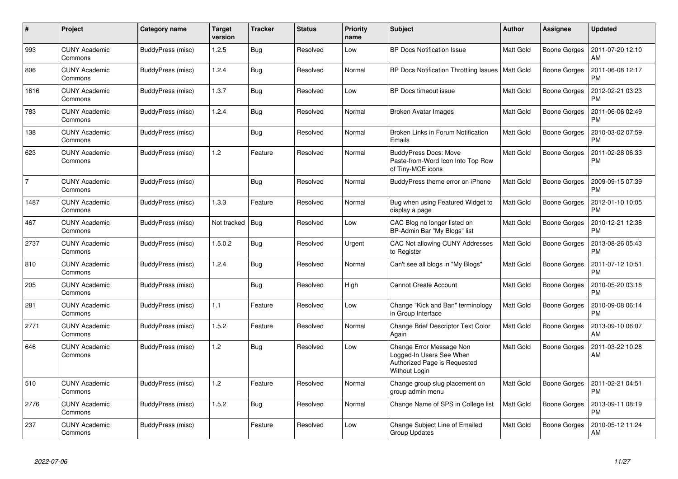| #              | Project                         | Category name     | <b>Target</b><br>version | <b>Tracker</b> | <b>Status</b> | <b>Priority</b><br>name | <b>Subject</b>                                                                                        | <b>Author</b>    | Assignee            | <b>Updated</b>                |
|----------------|---------------------------------|-------------------|--------------------------|----------------|---------------|-------------------------|-------------------------------------------------------------------------------------------------------|------------------|---------------------|-------------------------------|
| 993            | <b>CUNY Academic</b><br>Commons | BuddyPress (misc) | 1.2.5                    | Bug            | Resolved      | Low                     | <b>BP Docs Notification Issue</b>                                                                     | Matt Gold        | <b>Boone Gorges</b> | 2011-07-20 12:10<br>AM        |
| 806            | <b>CUNY Academic</b><br>Commons | BuddyPress (misc) | 1.2.4                    | <b>Bug</b>     | Resolved      | Normal                  | BP Docs Notification Throttling Issues   Matt Gold                                                    |                  | <b>Boone Gorges</b> | 2011-06-08 12:17<br><b>PM</b> |
| 1616           | <b>CUNY Academic</b><br>Commons | BuddyPress (misc) | 1.3.7                    | <b>Bug</b>     | Resolved      | Low                     | BP Docs timeout issue                                                                                 | <b>Matt Gold</b> | Boone Gorges        | 2012-02-21 03:23<br><b>PM</b> |
| 783            | <b>CUNY Academic</b><br>Commons | BuddyPress (misc) | 1.2.4                    | Bug            | Resolved      | Normal                  | Broken Avatar Images                                                                                  | Matt Gold        | Boone Gorges        | 2011-06-06 02:49<br><b>PM</b> |
| 138            | <b>CUNY Academic</b><br>Commons | BuddyPress (misc) |                          | <b>Bug</b>     | Resolved      | Normal                  | Broken Links in Forum Notification<br>Emails                                                          | <b>Matt Gold</b> | Boone Gorges        | 2010-03-02 07:59<br><b>PM</b> |
| 623            | <b>CUNY Academic</b><br>Commons | BuddyPress (misc) | 1.2                      | Feature        | Resolved      | Normal                  | <b>BuddyPress Docs: Move</b><br>Paste-from-Word Icon Into Top Row<br>of Tiny-MCE icons                | <b>Matt Gold</b> | <b>Boone Gorges</b> | 2011-02-28 06:33<br><b>PM</b> |
| $\overline{7}$ | <b>CUNY Academic</b><br>Commons | BuddyPress (misc) |                          | <b>Bug</b>     | Resolved      | Normal                  | BuddyPress theme error on iPhone                                                                      | <b>Matt Gold</b> | <b>Boone Gorges</b> | 2009-09-15 07:39<br><b>PM</b> |
| 1487           | <b>CUNY Academic</b><br>Commons | BuddyPress (misc) | 1.3.3                    | Feature        | Resolved      | Normal                  | Bug when using Featured Widget to<br>display a page                                                   | <b>Matt Gold</b> | <b>Boone Gorges</b> | 2012-01-10 10:05<br><b>PM</b> |
| 467            | <b>CUNY Academic</b><br>Commons | BuddyPress (misc) | Not tracked              | Bug            | Resolved      | Low                     | CAC Blog no longer listed on<br>BP-Admin Bar "My Blogs" list                                          | <b>Matt Gold</b> | Boone Gorges        | 2010-12-21 12:38<br><b>PM</b> |
| 2737           | <b>CUNY Academic</b><br>Commons | BuddyPress (misc) | 1.5.0.2                  | Bug            | Resolved      | Urgent                  | CAC Not allowing CUNY Addresses<br>to Register                                                        | <b>Matt Gold</b> | Boone Gorges        | 2013-08-26 05:43<br><b>PM</b> |
| 810            | <b>CUNY Academic</b><br>Commons | BuddyPress (misc) | 1.2.4                    | Bug            | Resolved      | Normal                  | Can't see all blogs in "My Blogs"                                                                     | <b>Matt Gold</b> | <b>Boone Gorges</b> | 2011-07-12 10:51<br><b>PM</b> |
| 205            | CUNY Academic<br>Commons        | BuddyPress (misc) |                          | <b>Bug</b>     | Resolved      | High                    | <b>Cannot Create Account</b>                                                                          | <b>Matt Gold</b> | Boone Gorges        | 2010-05-20 03:18<br><b>PM</b> |
| 281            | <b>CUNY Academic</b><br>Commons | BuddyPress (misc) | 1.1                      | Feature        | Resolved      | Low                     | Change "Kick and Ban" terminology<br>in Group Interface                                               | Matt Gold        | Boone Gorges        | 2010-09-08 06:14<br><b>PM</b> |
| 2771           | <b>CUNY Academic</b><br>Commons | BuddyPress (misc) | 1.5.2                    | Feature        | Resolved      | Normal                  | Change Brief Descriptor Text Color<br>Again                                                           | <b>Matt Gold</b> | <b>Boone Gorges</b> | 2013-09-10 06:07<br>AM        |
| 646            | <b>CUNY Academic</b><br>Commons | BuddyPress (misc) | 1.2                      | Bug            | Resolved      | Low                     | Change Error Message Non<br>Logged-In Users See When<br>Authorized Page is Requested<br>Without Login | <b>Matt Gold</b> | Boone Gorges        | 2011-03-22 10:28<br>AM        |
| 510            | <b>CUNY Academic</b><br>Commons | BuddyPress (misc) | 1.2                      | Feature        | Resolved      | Normal                  | Change group slug placement on<br>group admin menu                                                    | Matt Gold        | <b>Boone Gorges</b> | 2011-02-21 04:51<br><b>PM</b> |
| 2776           | <b>CUNY Academic</b><br>Commons | BuddyPress (misc) | 1.5.2                    | <b>Bug</b>     | Resolved      | Normal                  | Change Name of SPS in College list                                                                    | <b>Matt Gold</b> | Boone Gorges        | 2013-09-11 08:19<br><b>PM</b> |
| 237            | <b>CUNY Academic</b><br>Commons | BuddyPress (misc) |                          | Feature        | Resolved      | Low                     | Change Subject Line of Emailed<br><b>Group Updates</b>                                                | Matt Gold        | Boone Gorges        | 2010-05-12 11:24<br>AM        |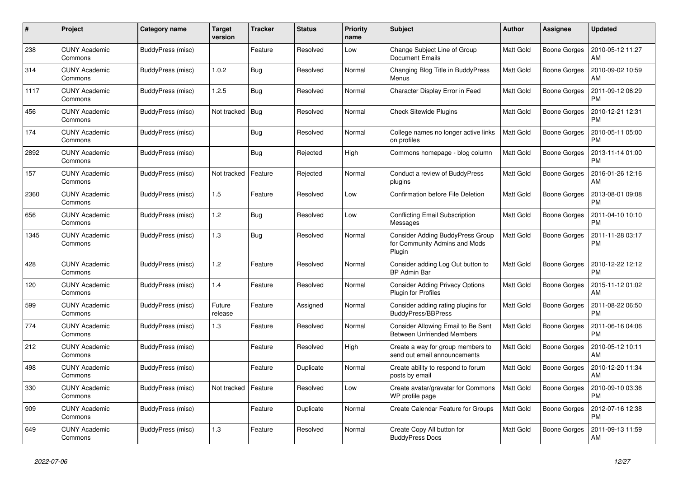| #    | Project                         | Category name     | <b>Target</b><br>version | <b>Tracker</b> | <b>Status</b> | <b>Priority</b><br>name | <b>Subject</b>                                                                     | <b>Author</b>    | Assignee            | <b>Updated</b>                |
|------|---------------------------------|-------------------|--------------------------|----------------|---------------|-------------------------|------------------------------------------------------------------------------------|------------------|---------------------|-------------------------------|
| 238  | <b>CUNY Academic</b><br>Commons | BuddyPress (misc) |                          | Feature        | Resolved      | Low                     | Change Subject Line of Group<br><b>Document Emails</b>                             | <b>Matt Gold</b> | <b>Boone Gorges</b> | 2010-05-12 11:27<br>АM        |
| 314  | <b>CUNY Academic</b><br>Commons | BuddyPress (misc) | 1.0.2                    | <b>Bug</b>     | Resolved      | Normal                  | Changing Blog Title in BuddyPress<br>Menus                                         | <b>Matt Gold</b> | <b>Boone Gorges</b> | 2010-09-02 10:59<br>AM        |
| 1117 | <b>CUNY Academic</b><br>Commons | BuddyPress (misc) | 1.2.5                    | <b>Bug</b>     | Resolved      | Normal                  | Character Display Error in Feed                                                    | <b>Matt Gold</b> | Boone Gorges        | 2011-09-12 06:29<br><b>PM</b> |
| 456  | <b>CUNY Academic</b><br>Commons | BuddyPress (misc) | Not tracked              | Bug            | Resolved      | Normal                  | <b>Check Sitewide Plugins</b>                                                      | <b>Matt Gold</b> | <b>Boone Gorges</b> | 2010-12-21 12:31<br><b>PM</b> |
| 174  | <b>CUNY Academic</b><br>Commons | BuddyPress (misc) |                          | Bug            | Resolved      | Normal                  | College names no longer active links<br>on profiles                                | <b>Matt Gold</b> | Boone Gorges        | 2010-05-11 05:00<br><b>PM</b> |
| 2892 | CUNY Academic<br>Commons        | BuddyPress (misc) |                          | <b>Bug</b>     | Rejected      | High                    | Commons homepage - blog column                                                     | <b>Matt Gold</b> | Boone Gorges        | 2013-11-14 01:00<br><b>PM</b> |
| 157  | <b>CUNY Academic</b><br>Commons | BuddyPress (misc) | Not tracked              | Feature        | Rejected      | Normal                  | Conduct a review of BuddyPress<br>plugins                                          | <b>Matt Gold</b> | <b>Boone Gorges</b> | 2016-01-26 12:16<br>AM        |
| 2360 | <b>CUNY Academic</b><br>Commons | BuddyPress (misc) | 1.5                      | Feature        | Resolved      | Low                     | Confirmation before File Deletion                                                  | <b>Matt Gold</b> | <b>Boone Gorges</b> | 2013-08-01 09:08<br>PM        |
| 656  | <b>CUNY Academic</b><br>Commons | BuddyPress (misc) | 1.2                      | <b>Bug</b>     | Resolved      | Low                     | <b>Conflicting Email Subscription</b><br>Messages                                  | <b>Matt Gold</b> | Boone Gorges        | 2011-04-10 10:10<br><b>PM</b> |
| 1345 | <b>CUNY Academic</b><br>Commons | BuddyPress (misc) | 1.3                      | Bug            | Resolved      | Normal                  | <b>Consider Adding BuddyPress Group</b><br>for Community Admins and Mods<br>Plugin | <b>Matt Gold</b> | Boone Gorges        | 2011-11-28 03:17<br><b>PM</b> |
| 428  | <b>CUNY Academic</b><br>Commons | BuddyPress (misc) | 1.2                      | Feature        | Resolved      | Normal                  | Consider adding Log Out button to<br><b>BP Admin Bar</b>                           | Matt Gold        | Boone Gorges        | 2010-12-22 12:12<br><b>PM</b> |
| 120  | <b>CUNY Academic</b><br>Commons | BuddyPress (misc) | 1.4                      | Feature        | Resolved      | Normal                  | <b>Consider Adding Privacy Options</b><br><b>Plugin for Profiles</b>               | <b>Matt Gold</b> | Boone Gorges        | 2015-11-12 01:02<br>AM        |
| 599  | <b>CUNY Academic</b><br>Commons | BuddyPress (misc) | Future<br>release        | Feature        | Assigned      | Normal                  | Consider adding rating plugins for<br><b>BuddyPress/BBPress</b>                    | <b>Matt Gold</b> | Boone Gorges        | 2011-08-22 06:50<br><b>PM</b> |
| 774  | <b>CUNY Academic</b><br>Commons | BuddyPress (misc) | 1.3                      | Feature        | Resolved      | Normal                  | Consider Allowing Email to Be Sent<br><b>Between Unfriended Members</b>            | <b>Matt Gold</b> | Boone Gorges        | 2011-06-16 04:06<br><b>PM</b> |
| 212  | <b>CUNY Academic</b><br>Commons | BuddyPress (misc) |                          | Feature        | Resolved      | High                    | Create a way for group members to<br>send out email announcements                  | Matt Gold        | <b>Boone Gorges</b> | 2010-05-12 10:11<br>AM        |
| 498  | <b>CUNY Academic</b><br>Commons | BuddyPress (misc) |                          | Feature        | Duplicate     | Normal                  | Create ability to respond to forum<br>posts by email                               | <b>Matt Gold</b> | <b>Boone Gorges</b> | 2010-12-20 11:34<br>AM        |
| 330  | <b>CUNY Academic</b><br>Commons | BuddyPress (misc) | Not tracked              | Feature        | Resolved      | Low                     | Create avatar/gravatar for Commons<br>WP profile page                              | Matt Gold        | Boone Gorges        | 2010-09-10 03:36<br><b>PM</b> |
| 909  | <b>CUNY Academic</b><br>Commons | BuddyPress (misc) |                          | Feature        | Duplicate     | Normal                  | Create Calendar Feature for Groups                                                 | <b>Matt Gold</b> | <b>Boone Gorges</b> | 2012-07-16 12:38<br><b>PM</b> |
| 649  | <b>CUNY Academic</b><br>Commons | BuddyPress (misc) | 1.3                      | Feature        | Resolved      | Normal                  | Create Copy All button for<br><b>BuddyPress Docs</b>                               | <b>Matt Gold</b> | <b>Boone Gorges</b> | 2011-09-13 11:59<br>AM        |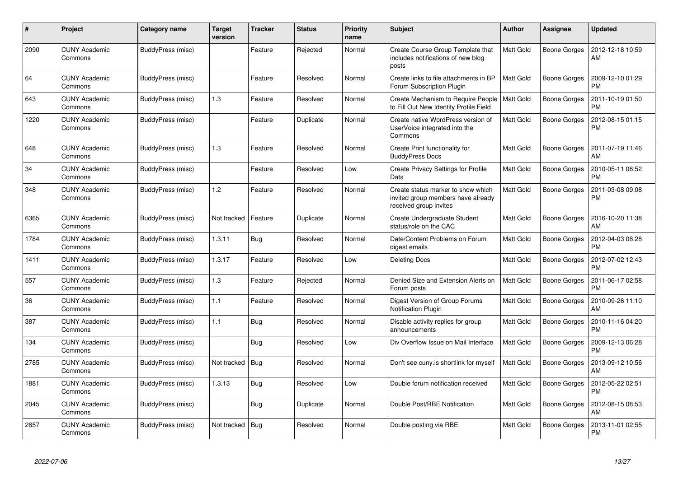| $\#$ | <b>Project</b>                  | Category name     | <b>Target</b><br>version | <b>Tracker</b> | <b>Status</b> | <b>Priority</b><br>name | <b>Subject</b>                                                                                     | <b>Author</b>    | Assignee            | <b>Updated</b>                |
|------|---------------------------------|-------------------|--------------------------|----------------|---------------|-------------------------|----------------------------------------------------------------------------------------------------|------------------|---------------------|-------------------------------|
| 2090 | <b>CUNY Academic</b><br>Commons | BuddyPress (misc) |                          | Feature        | Rejected      | Normal                  | Create Course Group Template that<br>includes notifications of new blog<br>posts                   | Matt Gold        | <b>Boone Gorges</b> | 2012-12-18 10:59<br>AM        |
| 64   | <b>CUNY Academic</b><br>Commons | BuddyPress (misc) |                          | Feature        | Resolved      | Normal                  | Create links to file attachments in BP<br>Forum Subscription Plugin                                | Matt Gold        | Boone Gorges        | 2009-12-10 01:29<br><b>PM</b> |
| 643  | <b>CUNY Academic</b><br>Commons | BuddyPress (misc) | 1.3                      | Feature        | Resolved      | Normal                  | Create Mechanism to Require People<br>to Fill Out New Identity Profile Field                       | <b>Matt Gold</b> | <b>Boone Gorges</b> | 2011-10-19 01:50<br><b>PM</b> |
| 1220 | <b>CUNY Academic</b><br>Commons | BuddyPress (misc) |                          | Feature        | Duplicate     | Normal                  | Create native WordPress version of<br>UserVoice integrated into the<br>Commons                     | Matt Gold        | <b>Boone Gorges</b> | 2012-08-15 01:15<br><b>PM</b> |
| 648  | <b>CUNY Academic</b><br>Commons | BuddyPress (misc) | 1.3                      | Feature        | Resolved      | Normal                  | Create Print functionality for<br><b>BuddyPress Docs</b>                                           | Matt Gold        | <b>Boone Gorges</b> | 2011-07-19 11:46<br>AM        |
| 34   | <b>CUNY Academic</b><br>Commons | BuddyPress (misc) |                          | Feature        | Resolved      | Low                     | Create Privacy Settings for Profile<br>Data                                                        | Matt Gold        | <b>Boone Gorges</b> | 2010-05-11 06:52<br><b>PM</b> |
| 348  | <b>CUNY Academic</b><br>Commons | BuddyPress (misc) | 1.2                      | Feature        | Resolved      | Normal                  | Create status marker to show which<br>invited group members have already<br>received group invites | Matt Gold        | Boone Gorges        | 2011-03-08 09:08<br><b>PM</b> |
| 6365 | <b>CUNY Academic</b><br>Commons | BuddyPress (misc) | Not tracked              | Feature        | Duplicate     | Normal                  | Create Undergraduate Student<br>status/role on the CAC                                             | Matt Gold        | <b>Boone Gorges</b> | 2016-10-20 11:38<br>AM        |
| 1784 | <b>CUNY Academic</b><br>Commons | BuddyPress (misc) | 1.3.11                   | <b>Bug</b>     | Resolved      | Normal                  | Date/Content Problems on Forum<br>digest emails                                                    | Matt Gold        | Boone Gorges        | 2012-04-03 08:28<br><b>PM</b> |
| 1411 | <b>CUNY Academic</b><br>Commons | BuddyPress (misc) | 1.3.17                   | Feature        | Resolved      | Low                     | <b>Deleting Docs</b>                                                                               | Matt Gold        | <b>Boone Gorges</b> | 2012-07-02 12:43<br><b>PM</b> |
| 557  | <b>CUNY Academic</b><br>Commons | BuddyPress (misc) | 1.3                      | Feature        | Rejected      | Normal                  | Denied Size and Extension Alerts on<br>Forum posts                                                 | Matt Gold        | <b>Boone Gorges</b> | 2011-06-17 02:58<br><b>PM</b> |
| 36   | <b>CUNY Academic</b><br>Commons | BuddyPress (misc) | 1.1                      | Feature        | Resolved      | Normal                  | Digest Version of Group Forums<br>Notification Plugin                                              | Matt Gold        | Boone Gorges        | 2010-09-26 11:10<br>AM        |
| 387  | <b>CUNY Academic</b><br>Commons | BuddyPress (misc) | 1.1                      | <b>Bug</b>     | Resolved      | Normal                  | Disable activity replies for group<br>announcements                                                | Matt Gold        | <b>Boone Gorges</b> | 2010-11-16 04:20<br><b>PM</b> |
| 134  | <b>CUNY Academic</b><br>Commons | BuddyPress (misc) |                          | Bug            | Resolved      | Low                     | Div Overflow Issue on Mail Interface                                                               | Matt Gold        | <b>Boone Gorges</b> | 2009-12-13 06:28<br><b>PM</b> |
| 2785 | <b>CUNY Academic</b><br>Commons | BuddyPress (misc) | Not tracked              | <b>Bug</b>     | Resolved      | Normal                  | Don't see cuny is shortlink for myself                                                             | Matt Gold        | <b>Boone Gorges</b> | 2013-09-12 10:56<br>AM        |
| 1881 | <b>CUNY Academic</b><br>Commons | BuddyPress (misc) | 1.3.13                   | <b>Bug</b>     | Resolved      | Low                     | Double forum notification received                                                                 | Matt Gold        | <b>Boone Gorges</b> | 2012-05-22 02:51<br><b>PM</b> |
| 2045 | <b>CUNY Academic</b><br>Commons | BuddyPress (misc) |                          | <b>Bug</b>     | Duplicate     | Normal                  | Double Post/RBE Notification                                                                       | Matt Gold        | <b>Boone Gorges</b> | 2012-08-15 08:53<br>AM        |
| 2857 | <b>CUNY Academic</b><br>Commons | BuddyPress (misc) | Not tracked              | Bug            | Resolved      | Normal                  | Double posting via RBE                                                                             | Matt Gold        | Boone Gorges        | 2013-11-01 02:55<br><b>PM</b> |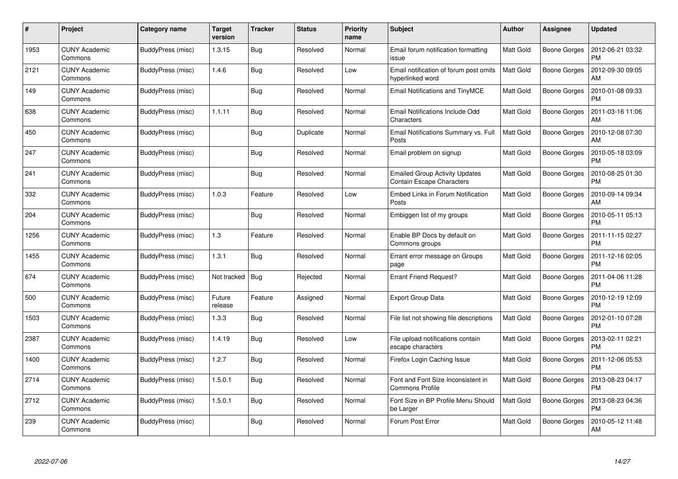| #    | Project                         | Category name     | <b>Target</b><br>version | <b>Tracker</b> | <b>Status</b> | <b>Priority</b><br>name | <b>Subject</b>                                                            | Author           | <b>Assignee</b>     | <b>Updated</b>                |
|------|---------------------------------|-------------------|--------------------------|----------------|---------------|-------------------------|---------------------------------------------------------------------------|------------------|---------------------|-------------------------------|
| 1953 | <b>CUNY Academic</b><br>Commons | BuddyPress (misc) | 1.3.15                   | <b>Bug</b>     | Resolved      | Normal                  | Email forum notification formatting<br>issue                              | <b>Matt Gold</b> | <b>Boone Gorges</b> | 2012-06-21 03:32<br><b>PM</b> |
| 2121 | <b>CUNY Academic</b><br>Commons | BuddyPress (misc) | 1.4.6                    | Bug            | Resolved      | Low                     | Email notification of forum post omits<br>hyperlinked word                | <b>Matt Gold</b> | Boone Gorges        | 2012-09-30 09:05<br>AM        |
| 149  | <b>CUNY Academic</b><br>Commons | BuddyPress (misc) |                          | <b>Bug</b>     | Resolved      | Normal                  | Email Notifications and TinyMCE                                           | <b>Matt Gold</b> | Boone Gorges        | 2010-01-08 09:33<br><b>PM</b> |
| 638  | <b>CUNY Academic</b><br>Commons | BuddyPress (misc) | 1.1.11                   | <b>Bug</b>     | Resolved      | Normal                  | Email Notifications Include Odd<br>Characters                             | Matt Gold        | Boone Gorges        | 2011-03-16 11:06<br>AM        |
| 450  | <b>CUNY Academic</b><br>Commons | BuddyPress (misc) |                          | <b>Bug</b>     | Duplicate     | Normal                  | Email Notifications Summary vs. Full<br>Posts                             | Matt Gold        | Boone Gorges        | 2010-12-08 07:30<br>AM        |
| 247  | <b>CUNY Academic</b><br>Commons | BuddyPress (misc) |                          | Bug            | Resolved      | Normal                  | Email problem on signup                                                   | Matt Gold        | Boone Gorges        | 2010-05-18 03:09<br><b>PM</b> |
| 241  | <b>CUNY Academic</b><br>Commons | BuddyPress (misc) |                          | Bug            | Resolved      | Normal                  | <b>Emailed Group Activity Updates</b><br><b>Contain Escape Characters</b> | <b>Matt Gold</b> | <b>Boone Gorges</b> | 2010-08-25 01:30<br><b>PM</b> |
| 332  | <b>CUNY Academic</b><br>Commons | BuddyPress (misc) | 1.0.3                    | Feature        | Resolved      | Low                     | <b>Embed Links in Forum Notification</b><br>Posts                         | <b>Matt Gold</b> | Boone Gorges        | 2010-09-14 09:34<br>AM        |
| 204  | <b>CUNY Academic</b><br>Commons | BuddyPress (misc) |                          | <b>Bug</b>     | Resolved      | Normal                  | Embiggen list of my groups                                                | <b>Matt Gold</b> | Boone Gorges        | 2010-05-11 05:13<br><b>PM</b> |
| 1256 | <b>CUNY Academic</b><br>Commons | BuddyPress (misc) | 1.3                      | Feature        | Resolved      | Normal                  | Enable BP Docs by default on<br>Commons groups                            | <b>Matt Gold</b> | <b>Boone Gorges</b> | 2011-11-15 02:27<br><b>PM</b> |
| 1455 | <b>CUNY Academic</b><br>Commons | BuddyPress (misc) | 1.3.1                    | Bug            | Resolved      | Normal                  | Errant error message on Groups<br>page                                    | <b>Matt Gold</b> | Boone Gorges        | 2011-12-16 02:05<br><b>PM</b> |
| 674  | <b>CUNY Academic</b><br>Commons | BuddyPress (misc) | Not tracked              | Bug            | Rejected      | Normal                  | <b>Errant Friend Request?</b>                                             | Matt Gold        | Boone Gorges        | 2011-04-06 11:28<br><b>PM</b> |
| 500  | <b>CUNY Academic</b><br>Commons | BuddyPress (misc) | Future<br>release        | Feature        | Assigned      | Normal                  | <b>Export Group Data</b>                                                  | <b>Matt Gold</b> | Boone Gorges        | 2010-12-19 12:09<br><b>PM</b> |
| 1503 | <b>CUNY Academic</b><br>Commons | BuddyPress (misc) | 1.3.3                    | Bug            | Resolved      | Normal                  | File list not showing file descriptions                                   | <b>Matt Gold</b> | <b>Boone Gorges</b> | 2012-01-10 07:28<br><b>PM</b> |
| 2387 | <b>CUNY Academic</b><br>Commons | BuddyPress (misc) | 1.4.19                   | <b>Bug</b>     | Resolved      | Low                     | File upload notifications contain<br>escape characters                    | <b>Matt Gold</b> | Boone Gorges        | 2013-02-11 02:21<br><b>PM</b> |
| 1400 | <b>CUNY Academic</b><br>Commons | BuddyPress (misc) | 1.2.7                    | <b>Bug</b>     | Resolved      | Normal                  | Firefox Login Caching Issue                                               | <b>Matt Gold</b> | Boone Gorges        | 2011-12-06 05:53<br><b>PM</b> |
| 2714 | <b>CUNY Academic</b><br>Commons | BuddyPress (misc) | 1.5.0.1                  | <b>Bug</b>     | Resolved      | Normal                  | Font and Font Size Inconsistent in<br><b>Commons Profile</b>              | <b>Matt Gold</b> | Boone Gorges        | 2013-08-23 04:17<br><b>PM</b> |
| 2712 | <b>CUNY Academic</b><br>Commons | BuddyPress (misc) | 1.5.0.1                  | <b>Bug</b>     | Resolved      | Normal                  | Font Size in BP Profile Menu Should<br>be Larger                          | Matt Gold        | <b>Boone Gorges</b> | 2013-08-23 04:36<br><b>PM</b> |
| 239  | CUNY Academic<br>Commons        | BuddyPress (misc) |                          | <b>Bug</b>     | Resolved      | Normal                  | Forum Post Error                                                          | <b>Matt Gold</b> | Boone Gorges        | 2010-05-12 11:48<br>AM        |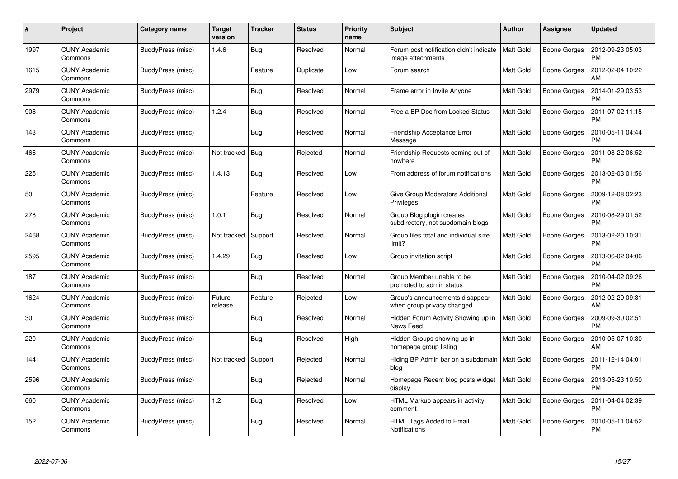| #    | Project                         | Category name     | <b>Target</b><br>version | <b>Tracker</b> | <b>Status</b> | <b>Priority</b><br>name | <b>Subject</b>                                                 | Author           | <b>Assignee</b>     | <b>Updated</b>                |
|------|---------------------------------|-------------------|--------------------------|----------------|---------------|-------------------------|----------------------------------------------------------------|------------------|---------------------|-------------------------------|
| 1997 | <b>CUNY Academic</b><br>Commons | BuddyPress (misc) | 1.4.6                    | <b>Bug</b>     | Resolved      | Normal                  | Forum post notification didn't indicate<br>image attachments   | <b>Matt Gold</b> | <b>Boone Gorges</b> | 2012-09-23 05:03<br><b>PM</b> |
| 1615 | <b>CUNY Academic</b><br>Commons | BuddyPress (misc) |                          | Feature        | Duplicate     | Low                     | Forum search                                                   | <b>Matt Gold</b> | Boone Gorges        | 2012-02-04 10:22<br>AM        |
| 2979 | <b>CUNY Academic</b><br>Commons | BuddyPress (misc) |                          | <b>Bug</b>     | Resolved      | Normal                  | Frame error in Invite Anyone                                   | <b>Matt Gold</b> | Boone Gorges        | 2014-01-29 03:53<br><b>PM</b> |
| 908  | <b>CUNY Academic</b><br>Commons | BuddyPress (misc) | 1.2.4                    | Bug            | Resolved      | Normal                  | Free a BP Doc from Locked Status                               | Matt Gold        | Boone Gorges        | 2011-07-02 11:15<br><b>PM</b> |
| 143  | <b>CUNY Academic</b><br>Commons | BuddyPress (misc) |                          | Bug            | Resolved      | Normal                  | Friendship Acceptance Error<br>Message                         | <b>Matt Gold</b> | <b>Boone Gorges</b> | 2010-05-11 04:44<br><b>PM</b> |
| 466  | <b>CUNY Academic</b><br>Commons | BuddyPress (misc) | Not tracked              | Bug            | Rejected      | Normal                  | Friendship Requests coming out of<br>nowhere                   | <b>Matt Gold</b> | Boone Gorges        | 2011-08-22 06:52<br><b>PM</b> |
| 2251 | <b>CUNY Academic</b><br>Commons | BuddyPress (misc) | 1.4.13                   | Bug            | Resolved      | Low                     | From address of forum notifications                            | Matt Gold        | <b>Boone Gorges</b> | 2013-02-03 01:56<br><b>PM</b> |
| 50   | <b>CUNY Academic</b><br>Commons | BuddyPress (misc) |                          | Feature        | Resolved      | Low                     | Give Group Moderators Additional<br>Privileges                 | <b>Matt Gold</b> | Boone Gorges        | 2009-12-08 02:23<br><b>PM</b> |
| 278  | <b>CUNY Academic</b><br>Commons | BuddyPress (misc) | 1.0.1                    | <b>Bug</b>     | Resolved      | Normal                  | Group Blog plugin creates<br>subdirectory, not subdomain blogs | <b>Matt Gold</b> | Boone Gorges        | 2010-08-29 01:52<br><b>PM</b> |
| 2468 | <b>CUNY Academic</b><br>Commons | BuddyPress (misc) | Not tracked              | Support        | Resolved      | Normal                  | Group files total and individual size<br>limit?                | <b>Matt Gold</b> | <b>Boone Gorges</b> | 2013-02-20 10:31<br>PM        |
| 2595 | CUNY Academic<br>Commons        | BuddyPress (misc) | 1.4.29                   | Bug            | Resolved      | Low                     | Group invitation script                                        | <b>Matt Gold</b> | Boone Gorges        | 2013-06-02 04:06<br><b>PM</b> |
| 187  | <b>CUNY Academic</b><br>Commons | BuddyPress (misc) |                          | Bug            | Resolved      | Normal                  | Group Member unable to be<br>promoted to admin status          | <b>Matt Gold</b> | Boone Gorges        | 2010-04-02 09:26<br><b>PM</b> |
| 1624 | <b>CUNY Academic</b><br>Commons | BuddyPress (misc) | Future<br>release        | Feature        | Rejected      | Low                     | Group's announcements disappear<br>when group privacy changed  | <b>Matt Gold</b> | Boone Gorges        | 2012-02-29 09:31<br>АM        |
| 30   | <b>CUNY Academic</b><br>Commons | BuddyPress (misc) |                          | Bug            | Resolved      | Normal                  | Hidden Forum Activity Showing up in<br>News Feed               | <b>Matt Gold</b> | <b>Boone Gorges</b> | 2009-09-30 02:51<br><b>PM</b> |
| 220  | <b>CUNY Academic</b><br>Commons | BuddyPress (misc) |                          | <b>Bug</b>     | Resolved      | High                    | Hidden Groups showing up in<br>homepage group listing          | <b>Matt Gold</b> | Boone Gorges        | 2010-05-07 10:30<br>AM        |
| 1441 | <b>CUNY Academic</b><br>Commons | BuddyPress (misc) | Not tracked              | Support        | Rejected      | Normal                  | Hiding BP Admin bar on a subdomain<br>blog                     | Matt Gold        | Boone Gorges        | 2011-12-14 04:01<br><b>PM</b> |
| 2596 | <b>CUNY Academic</b><br>Commons | BuddyPress (misc) |                          | Bug            | Rejected      | Normal                  | Homepage Recent blog posts widget<br>display                   | <b>Matt Gold</b> | <b>Boone Gorges</b> | 2013-05-23 10:50<br><b>PM</b> |
| 660  | <b>CUNY Academic</b><br>Commons | BuddyPress (misc) | 1.2                      | <b>Bug</b>     | Resolved      | Low                     | HTML Markup appears in activity<br>comment                     | Matt Gold        | Boone Gorges        | 2011-04-04 02:39<br><b>PM</b> |
| 152  | CUNY Academic<br>Commons        | BuddyPress (misc) |                          | <b>Bug</b>     | Resolved      | Normal                  | HTML Tags Added to Email<br>Notifications                      | <b>Matt Gold</b> | Boone Gorges        | 2010-05-11 04:52<br>PM        |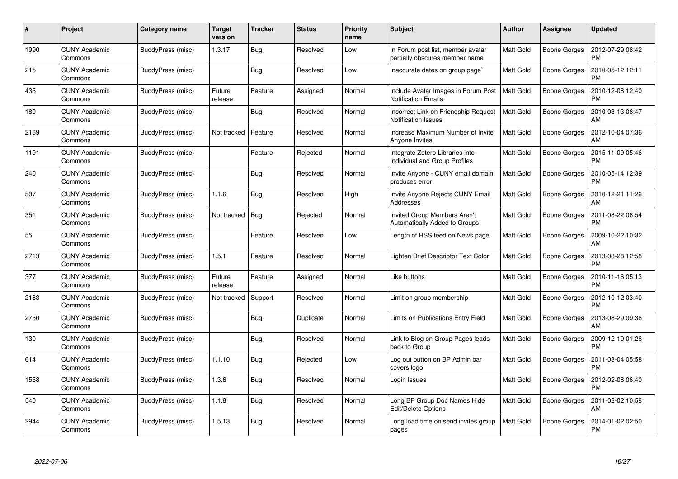| #    | Project                         | Category name     | <b>Target</b><br>version | <b>Tracker</b> | <b>Status</b> | <b>Priority</b><br>name | <b>Subject</b>                                                      | Author           | Assignee            | <b>Updated</b>                |
|------|---------------------------------|-------------------|--------------------------|----------------|---------------|-------------------------|---------------------------------------------------------------------|------------------|---------------------|-------------------------------|
| 1990 | <b>CUNY Academic</b><br>Commons | BuddyPress (misc) | 1.3.17                   | Bug            | Resolved      | Low                     | In Forum post list, member avatar<br>partially obscures member name | <b>Matt Gold</b> | <b>Boone Gorges</b> | 2012-07-29 08:42<br><b>PM</b> |
| 215  | <b>CUNY Academic</b><br>Commons | BuddyPress (misc) |                          | Bug            | Resolved      | Low                     | Inaccurate dates on group page`                                     | <b>Matt Gold</b> | Boone Gorges        | 2010-05-12 12:11<br>PM        |
| 435  | <b>CUNY Academic</b><br>Commons | BuddyPress (misc) | Future<br>release        | Feature        | Assigned      | Normal                  | Include Avatar Images in Forum Post<br><b>Notification Emails</b>   | <b>Matt Gold</b> | <b>Boone Gorges</b> | 2010-12-08 12:40<br><b>PM</b> |
| 180  | <b>CUNY Academic</b><br>Commons | BuddyPress (misc) |                          | Bug            | Resolved      | Normal                  | Incorrect Link on Friendship Request<br><b>Notification Issues</b>  | <b>Matt Gold</b> | Boone Gorges        | 2010-03-13 08:47<br>AM        |
| 2169 | <b>CUNY Academic</b><br>Commons | BuddyPress (misc) | Not tracked              | Feature        | Resolved      | Normal                  | Increase Maximum Number of Invite<br>Anyone Invites                 | <b>Matt Gold</b> | Boone Gorges        | 2012-10-04 07:36<br>AM        |
| 1191 | <b>CUNY Academic</b><br>Commons | BuddyPress (misc) |                          | Feature        | Rejected      | Normal                  | Integrate Zotero Libraries into<br>Individual and Group Profiles    | Matt Gold        | Boone Gorges        | 2015-11-09 05:46<br><b>PM</b> |
| 240  | <b>CUNY Academic</b><br>Commons | BuddyPress (misc) |                          | Bug            | Resolved      | Normal                  | Invite Anyone - CUNY email domain<br>produces error                 | <b>Matt Gold</b> | <b>Boone Gorges</b> | 2010-05-14 12:39<br><b>PM</b> |
| 507  | <b>CUNY Academic</b><br>Commons | BuddyPress (misc) | 1.1.6                    | Bug            | Resolved      | High                    | Invite Anyone Rejects CUNY Email<br>Addresses                       | Matt Gold        | Boone Gorges        | 2010-12-21 11:26<br>AM        |
| 351  | <b>CUNY Academic</b><br>Commons | BuddyPress (misc) | Not tracked              | Bug            | Rejected      | Normal                  | Invited Group Members Aren't<br>Automatically Added to Groups       | <b>Matt Gold</b> | <b>Boone Gorges</b> | 2011-08-22 06:54<br><b>PM</b> |
| 55   | <b>CUNY Academic</b><br>Commons | BuddyPress (misc) |                          | Feature        | Resolved      | Low                     | Length of RSS feed on News page                                     | <b>Matt Gold</b> | Boone Gorges        | 2009-10-22 10:32<br>AM        |
| 2713 | <b>CUNY Academic</b><br>Commons | BuddyPress (misc) | 1.5.1                    | Feature        | Resolved      | Normal                  | Lighten Brief Descriptor Text Color                                 | <b>Matt Gold</b> | Boone Gorges        | 2013-08-28 12:58<br><b>PM</b> |
| 377  | <b>CUNY Academic</b><br>Commons | BuddyPress (misc) | Future<br>release        | Feature        | Assigned      | Normal                  | Like buttons                                                        | <b>Matt Gold</b> | Boone Gorges        | 2010-11-16 05:13<br>PM        |
| 2183 | <b>CUNY Academic</b><br>Commons | BuddyPress (misc) | Not tracked              | Support        | Resolved      | Normal                  | Limit on group membership                                           | <b>Matt Gold</b> | Boone Gorges        | 2012-10-12 03:40<br><b>PM</b> |
| 2730 | <b>CUNY Academic</b><br>Commons | BuddyPress (misc) |                          | <b>Bug</b>     | Duplicate     | Normal                  | Limits on Publications Entry Field                                  | <b>Matt Gold</b> | Boone Gorges        | 2013-08-29 09:36<br>AM        |
| 130  | <b>CUNY Academic</b><br>Commons | BuddyPress (misc) |                          | <b>Bug</b>     | Resolved      | Normal                  | Link to Blog on Group Pages leads<br>back to Group                  | <b>Matt Gold</b> | Boone Gorges        | 2009-12-10 01:28<br><b>PM</b> |
| 614  | <b>CUNY Academic</b><br>Commons | BuddyPress (misc) | 1.1.10                   | Bug            | Rejected      | Low                     | Log out button on BP Admin bar<br>covers logo                       | <b>Matt Gold</b> | Boone Gorges        | 2011-03-04 05:58<br><b>PM</b> |
| 1558 | <b>CUNY Academic</b><br>Commons | BuddyPress (misc) | 1.3.6                    | Bug            | Resolved      | Normal                  | Login Issues                                                        | <b>Matt Gold</b> | Boone Gorges        | 2012-02-08 06:40<br><b>PM</b> |
| 540  | <b>CUNY Academic</b><br>Commons | BuddyPress (misc) | 1.1.8                    | <b>Bug</b>     | Resolved      | Normal                  | Long BP Group Doc Names Hide<br><b>Edit/Delete Options</b>          | Matt Gold        | Boone Gorges        | 2011-02-02 10:58<br>AM        |
| 2944 | CUNY Academic<br>Commons        | BuddyPress (misc) | 1.5.13                   | <b>Bug</b>     | Resolved      | Normal                  | Long load time on send invites group<br>pages                       | <b>Matt Gold</b> | Boone Gorges        | 2014-01-02 02:50<br>PM        |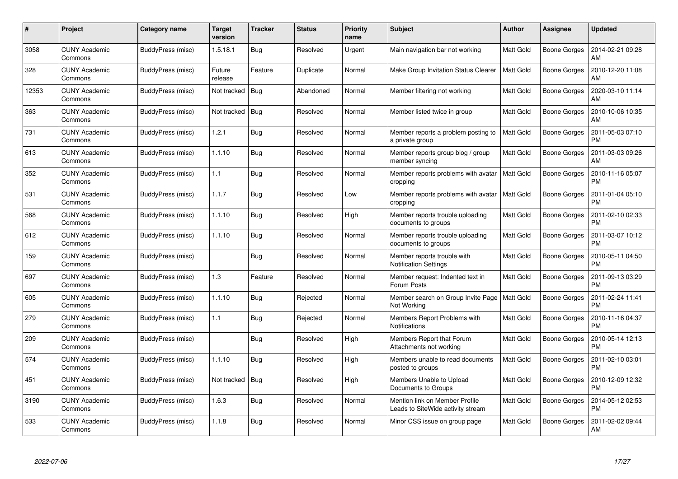| #     | Project                         | Category name     | <b>Target</b><br>version | <b>Tracker</b> | <b>Status</b> | <b>Priority</b><br>name | <b>Subject</b>                                                      | Author           | <b>Assignee</b>     | <b>Updated</b>                |
|-------|---------------------------------|-------------------|--------------------------|----------------|---------------|-------------------------|---------------------------------------------------------------------|------------------|---------------------|-------------------------------|
| 3058  | <b>CUNY Academic</b><br>Commons | BuddyPress (misc) | 1.5.18.1                 | <b>Bug</b>     | Resolved      | Urgent                  | Main navigation bar not working                                     | <b>Matt Gold</b> | <b>Boone Gorges</b> | 2014-02-21 09:28<br>AM        |
| 328   | <b>CUNY Academic</b><br>Commons | BuddyPress (misc) | Future<br>release        | Feature        | Duplicate     | Normal                  | Make Group Invitation Status Clearer                                | <b>Matt Gold</b> | <b>Boone Gorges</b> | 2010-12-20 11:08<br>AM        |
| 12353 | <b>CUNY Academic</b><br>Commons | BuddyPress (misc) | Not tracked              | Bug            | Abandoned     | Normal                  | Member filtering not working                                        | <b>Matt Gold</b> | <b>Boone Gorges</b> | 2020-03-10 11:14<br>AM        |
| 363   | <b>CUNY Academic</b><br>Commons | BuddyPress (misc) | Not tracked              | Bug            | Resolved      | Normal                  | Member listed twice in group                                        | <b>Matt Gold</b> | Boone Gorges        | 2010-10-06 10:35<br>AM        |
| 731   | <b>CUNY Academic</b><br>Commons | BuddyPress (misc) | 1.2.1                    | Bug            | Resolved      | Normal                  | Member reports a problem posting to<br>a private group              | <b>Matt Gold</b> | <b>Boone Gorges</b> | 2011-05-03 07:10<br><b>PM</b> |
| 613   | <b>CUNY Academic</b><br>Commons | BuddyPress (misc) | 1.1.10                   | Bug            | Resolved      | Normal                  | Member reports group blog / group<br>member syncing                 | <b>Matt Gold</b> | <b>Boone Gorges</b> | 2011-03-03 09:26<br>AM        |
| 352   | <b>CUNY Academic</b><br>Commons | BuddyPress (misc) | 1.1                      | Bug            | Resolved      | Normal                  | Member reports problems with avatar<br>cropping                     | <b>Matt Gold</b> | Boone Gorges        | 2010-11-16 05:07<br><b>PM</b> |
| 531   | <b>CUNY Academic</b><br>Commons | BuddyPress (misc) | 1.1.7                    | Bug            | Resolved      | Low                     | Member reports problems with avatar<br>cropping                     | <b>Matt Gold</b> | Boone Gorges        | 2011-01-04 05:10<br><b>PM</b> |
| 568   | <b>CUNY Academic</b><br>Commons | BuddyPress (misc) | 1.1.10                   | Bug            | Resolved      | High                    | Member reports trouble uploading<br>documents to groups             | <b>Matt Gold</b> | <b>Boone Gorges</b> | 2011-02-10 02:33<br><b>PM</b> |
| 612   | <b>CUNY Academic</b><br>Commons | BuddyPress (misc) | 1.1.10                   | Bug            | Resolved      | Normal                  | Member reports trouble uploading<br>documents to groups             | <b>Matt Gold</b> | Boone Gorges        | 2011-03-07 10:12<br><b>PM</b> |
| 159   | <b>CUNY Academic</b><br>Commons | BuddyPress (misc) |                          | Bug            | Resolved      | Normal                  | Member reports trouble with<br><b>Notification Settings</b>         | <b>Matt Gold</b> | Boone Gorges        | 2010-05-11 04:50<br><b>PM</b> |
| 697   | <b>CUNY Academic</b><br>Commons | BuddyPress (misc) | 1.3                      | Feature        | Resolved      | Normal                  | Member request: Indented text in<br>Forum Posts                     | <b>Matt Gold</b> | Boone Gorges        | 2011-09-13 03:29<br><b>PM</b> |
| 605   | <b>CUNY Academic</b><br>Commons | BuddyPress (misc) | 1.1.10                   | Bug            | Rejected      | Normal                  | Member search on Group Invite Page<br>Not Working                   | <b>Matt Gold</b> | <b>Boone Gorges</b> | 2011-02-24 11:41<br><b>PM</b> |
| 279   | <b>CUNY Academic</b><br>Commons | BuddyPress (misc) | 1.1                      | Bug            | Rejected      | Normal                  | Members Report Problems with<br>Notifications                       | <b>Matt Gold</b> | <b>Boone Gorges</b> | 2010-11-16 04:37<br>PM        |
| 209   | <b>CUNY Academic</b><br>Commons | BuddyPress (misc) |                          | Bug            | Resolved      | High                    | Members Report that Forum<br>Attachments not working                | <b>Matt Gold</b> | Boone Gorges        | 2010-05-14 12:13<br><b>PM</b> |
| 574   | <b>CUNY Academic</b><br>Commons | BuddyPress (misc) | 1.1.10                   | Bug            | Resolved      | High                    | Members unable to read documents<br>posted to groups                | <b>Matt Gold</b> | Boone Gorges        | 2011-02-10 03:01<br><b>PM</b> |
| 451   | <b>CUNY Academic</b><br>Commons | BuddyPress (misc) | Not tracked              | Bug            | Resolved      | High                    | Members Unable to Upload<br>Documents to Groups                     | <b>Matt Gold</b> | <b>Boone Gorges</b> | 2010-12-09 12:32<br><b>PM</b> |
| 3190  | <b>CUNY Academic</b><br>Commons | BuddyPress (misc) | 1.6.3                    | <b>Bug</b>     | Resolved      | Normal                  | Mention link on Member Profile<br>Leads to SiteWide activity stream | <b>Matt Gold</b> | Boone Gorges        | 2014-05-12 02:53<br><b>PM</b> |
| 533   | <b>CUNY Academic</b><br>Commons | BuddyPress (misc) | 1.1.8                    | Bug            | Resolved      | Normal                  | Minor CSS issue on group page                                       | <b>Matt Gold</b> | Boone Gorges        | 2011-02-02 09:44<br>AM        |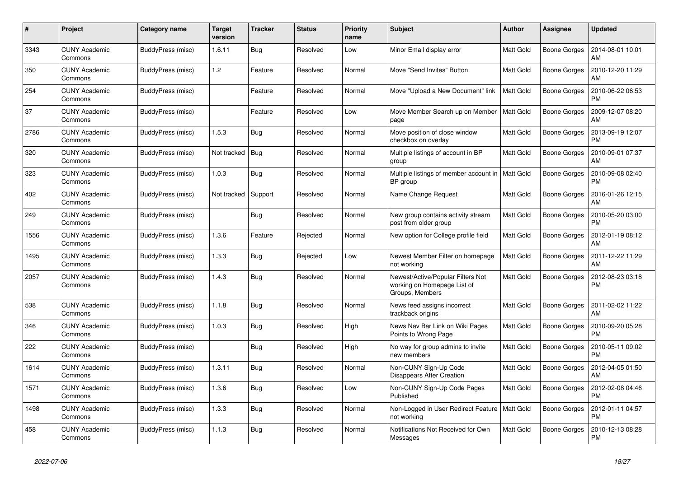| #    | Project                         | Category name     | <b>Target</b><br>version | <b>Tracker</b> | <b>Status</b> | <b>Priority</b><br>name | <b>Subject</b>                                                                      | Author           | Assignee            | <b>Updated</b>                |
|------|---------------------------------|-------------------|--------------------------|----------------|---------------|-------------------------|-------------------------------------------------------------------------------------|------------------|---------------------|-------------------------------|
| 3343 | <b>CUNY Academic</b><br>Commons | BuddyPress (misc) | 1.6.11                   | Bug            | Resolved      | Low                     | Minor Email display error                                                           | <b>Matt Gold</b> | <b>Boone Gorges</b> | 2014-08-01 10:01<br>AM        |
| 350  | <b>CUNY Academic</b><br>Commons | BuddyPress (misc) | 1.2                      | Feature        | Resolved      | Normal                  | Move "Send Invites" Button                                                          | <b>Matt Gold</b> | Boone Gorges        | 2010-12-20 11:29<br>AM        |
| 254  | <b>CUNY Academic</b><br>Commons | BuddyPress (misc) |                          | Feature        | Resolved      | Normal                  | Move "Upload a New Document" link                                                   | Matt Gold        | Boone Gorges        | 2010-06-22 06:53<br><b>PM</b> |
| 37   | <b>CUNY Academic</b><br>Commons | BuddyPress (misc) |                          | Feature        | Resolved      | Low                     | Move Member Search up on Member<br>page                                             | <b>Matt Gold</b> | <b>Boone Gorges</b> | 2009-12-07 08:20<br>AM        |
| 2786 | <b>CUNY Academic</b><br>Commons | BuddyPress (misc) | 1.5.3                    | Bug            | Resolved      | Normal                  | Move position of close window<br>checkbox on overlay                                | <b>Matt Gold</b> | Boone Gorges        | 2013-09-19 12:07<br><b>PM</b> |
| 320  | CUNY Academic<br>Commons        | BuddyPress (misc) | Not tracked              | Bug            | Resolved      | Normal                  | Multiple listings of account in BP<br>group                                         | <b>Matt Gold</b> | Boone Gorges        | 2010-09-01 07:37<br>AM        |
| 323  | <b>CUNY Academic</b><br>Commons | BuddyPress (misc) | 1.0.3                    | <b>Bug</b>     | Resolved      | Normal                  | Multiple listings of member account in<br>BP group                                  | <b>Matt Gold</b> | Boone Gorges        | 2010-09-08 02:40<br><b>PM</b> |
| 402  | <b>CUNY Academic</b><br>Commons | BuddyPress (misc) | Not tracked              | Support        | Resolved      | Normal                  | Name Change Request                                                                 | Matt Gold        | <b>Boone Gorges</b> | 2016-01-26 12:15<br>AM        |
| 249  | <b>CUNY Academic</b><br>Commons | BuddyPress (misc) |                          | <b>Bug</b>     | Resolved      | Normal                  | New group contains activity stream<br>post from older group                         | <b>Matt Gold</b> | Boone Gorges        | 2010-05-20 03:00<br><b>PM</b> |
| 1556 | <b>CUNY Academic</b><br>Commons | BuddyPress (misc) | 1.3.6                    | Feature        | Rejected      | Normal                  | New option for College profile field                                                | <b>Matt Gold</b> | Boone Gorges        | 2012-01-19 08:12<br>AM        |
| 1495 | <b>CUNY Academic</b><br>Commons | BuddyPress (misc) | 1.3.3                    | Bug            | Rejected      | Low                     | Newest Member Filter on homepage<br>not working                                     | <b>Matt Gold</b> | Boone Gorges        | 2011-12-22 11:29<br>AM        |
| 2057 | <b>CUNY Academic</b><br>Commons | BuddyPress (misc) | 1.4.3                    | Bug            | Resolved      | Normal                  | Newest/Active/Popular Filters Not<br>working on Homepage List of<br>Groups, Members | <b>Matt Gold</b> | Boone Gorges        | 2012-08-23 03:18<br><b>PM</b> |
| 538  | <b>CUNY Academic</b><br>Commons | BuddyPress (misc) | 1.1.8                    | <b>Bug</b>     | Resolved      | Normal                  | News feed assigns incorrect<br>trackback origins                                    | Matt Gold        | Boone Gorges        | 2011-02-02 11:22<br>AM        |
| 346  | <b>CUNY Academic</b><br>Commons | BuddyPress (misc) | 1.0.3                    | Bug            | Resolved      | High                    | News Nav Bar Link on Wiki Pages<br>Points to Wrong Page                             | <b>Matt Gold</b> | Boone Gorges        | 2010-09-20 05:28<br><b>PM</b> |
| 222  | <b>CUNY Academic</b><br>Commons | BuddyPress (misc) |                          | <b>Bug</b>     | Resolved      | High                    | No way for group admins to invite<br>new members                                    | <b>Matt Gold</b> | <b>Boone Gorges</b> | 2010-05-11 09:02<br><b>PM</b> |
| 1614 | <b>CUNY Academic</b><br>Commons | BuddyPress (misc) | 1.3.11                   | <b>Bug</b>     | Resolved      | Normal                  | Non-CUNY Sign-Up Code<br>Disappears After Creation                                  | <b>Matt Gold</b> | <b>Boone Gorges</b> | 2012-04-05 01:50<br>AM        |
| 1571 | <b>CUNY Academic</b><br>Commons | BuddyPress (misc) | 1.3.6                    | <b>Bug</b>     | Resolved      | Low                     | Non-CUNY Sign-Up Code Pages<br>Published                                            | <b>Matt Gold</b> | Boone Gorges        | 2012-02-08 04:46<br><b>PM</b> |
| 1498 | <b>CUNY Academic</b><br>Commons | BuddyPress (misc) | 1.3.3                    | Bug            | Resolved      | Normal                  | Non-Logged in User Redirect Feature   Matt Gold<br>not working                      |                  | <b>Boone Gorges</b> | 2012-01-11 04:57<br><b>PM</b> |
| 458  | <b>CUNY Academic</b><br>Commons | BuddyPress (misc) | 1.1.3                    | Bug            | Resolved      | Normal                  | Notifications Not Received for Own<br>Messages                                      | <b>Matt Gold</b> | Boone Gorges        | 2010-12-13 08:28<br><b>PM</b> |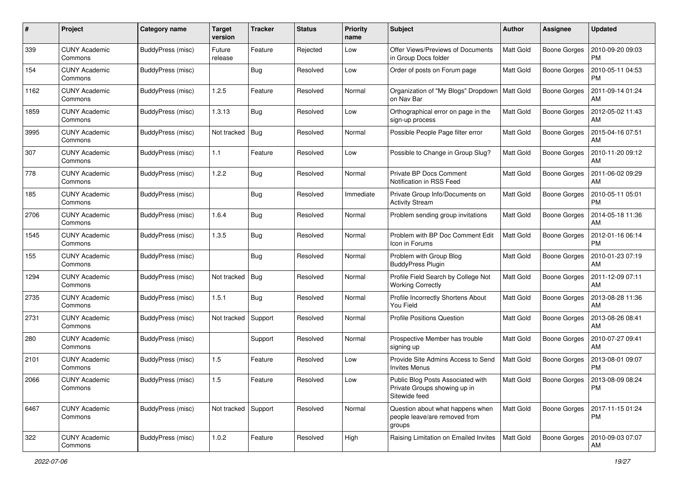| #    | Project                         | <b>Category name</b>     | <b>Target</b><br>version | <b>Tracker</b> | <b>Status</b> | <b>Priority</b><br>name | <b>Subject</b>                                                                     | <b>Author</b>    | Assignee            | <b>Updated</b>                |
|------|---------------------------------|--------------------------|--------------------------|----------------|---------------|-------------------------|------------------------------------------------------------------------------------|------------------|---------------------|-------------------------------|
| 339  | <b>CUNY Academic</b><br>Commons | BuddyPress (misc)        | Future<br>release        | Feature        | Rejected      | Low                     | Offer Views/Previews of Documents<br>in Group Docs folder                          | <b>Matt Gold</b> | <b>Boone Gorges</b> | 2010-09-20 09:03<br><b>PM</b> |
| 154  | <b>CUNY Academic</b><br>Commons | BuddyPress (misc)        |                          | <b>Bug</b>     | Resolved      | Low                     | Order of posts on Forum page                                                       | Matt Gold        | <b>Boone Gorges</b> | 2010-05-11 04:53<br><b>PM</b> |
| 1162 | <b>CUNY Academic</b><br>Commons | BuddyPress (misc)        | 1.2.5                    | Feature        | Resolved      | Normal                  | Organization of "My Blogs" Dropdown<br>on Nav Bar                                  | Matt Gold        | <b>Boone Gorges</b> | 2011-09-14 01:24<br>AM        |
| 1859 | <b>CUNY Academic</b><br>Commons | BuddyPress (misc)        | 1.3.13                   | Bug            | Resolved      | Low                     | Orthographical error on page in the<br>sign-up process                             | Matt Gold        | <b>Boone Gorges</b> | 2012-05-02 11:43<br>AM        |
| 3995 | <b>CUNY Academic</b><br>Commons | BuddyPress (misc)        | Not tracked              | <b>Bug</b>     | Resolved      | Normal                  | Possible People Page filter error                                                  | <b>Matt Gold</b> | <b>Boone Gorges</b> | 2015-04-16 07:51<br>AM        |
| 307  | <b>CUNY Academic</b><br>Commons | BuddyPress (misc)        | $1.1$                    | Feature        | Resolved      | Low                     | Possible to Change in Group Slug?                                                  | Matt Gold        | <b>Boone Gorges</b> | 2010-11-20 09:12<br>AM        |
| 778  | <b>CUNY Academic</b><br>Commons | BuddyPress (misc)        | 1.2.2                    | <b>Bug</b>     | Resolved      | Normal                  | Private BP Docs Comment<br>Notification in RSS Feed                                | Matt Gold        | <b>Boone Gorges</b> | 2011-06-02 09:29<br>AM        |
| 185  | <b>CUNY Academic</b><br>Commons | BuddyPress (misc)        |                          | <b>Bug</b>     | Resolved      | Immediate               | Private Group Info/Documents on<br><b>Activity Stream</b>                          | Matt Gold        | <b>Boone Gorges</b> | 2010-05-11 05:01<br><b>PM</b> |
| 2706 | <b>CUNY Academic</b><br>Commons | BuddyPress (misc)        | 1.6.4                    | <b>Bug</b>     | Resolved      | Normal                  | Problem sending group invitations                                                  | Matt Gold        | <b>Boone Gorges</b> | 2014-05-18 11:36<br>AM        |
| 1545 | <b>CUNY Academic</b><br>Commons | BuddyPress (misc)        | 1.3.5                    | <b>Bug</b>     | Resolved      | Normal                  | Problem with BP Doc Comment Edit<br>Icon in Forums                                 | Matt Gold        | <b>Boone Gorges</b> | 2012-01-16 06:14<br><b>PM</b> |
| 155  | <b>CUNY Academic</b><br>Commons | BuddyPress (misc)        |                          | Bug            | Resolved      | Normal                  | Problem with Group Blog<br><b>BuddyPress Plugin</b>                                | <b>Matt Gold</b> | <b>Boone Gorges</b> | 2010-01-23 07:19<br>AM        |
| 1294 | <b>CUNY Academic</b><br>Commons | BuddyPress (misc)        | Not tracked              | <b>Bug</b>     | Resolved      | Normal                  | Profile Field Search by College Not<br><b>Working Correctly</b>                    | <b>Matt Gold</b> | <b>Boone Gorges</b> | 2011-12-09 07:11<br>AM        |
| 2735 | <b>CUNY Academic</b><br>Commons | BuddyPress (misc)        | 1.5.1                    | Bug            | Resolved      | Normal                  | Profile Incorrectly Shortens About<br>You Field                                    | Matt Gold        | Boone Gorges        | 2013-08-28 11:36<br>AM        |
| 2731 | <b>CUNY Academic</b><br>Commons | BuddyPress (misc)        | Not tracked              | Support        | Resolved      | Normal                  | <b>Profile Positions Question</b>                                                  | Matt Gold        | <b>Boone Gorges</b> | 2013-08-26 08:41<br>AM        |
| 280  | <b>CUNY Academic</b><br>Commons | BuddyPress (misc)        |                          | Support        | Resolved      | Normal                  | Prospective Member has trouble<br>signing up                                       | <b>Matt Gold</b> | <b>Boone Gorges</b> | 2010-07-27 09:41<br>AM        |
| 2101 | <b>CUNY Academic</b><br>Commons | BuddyPress (misc)        | 1.5                      | Feature        | Resolved      | Low                     | Provide Site Admins Access to Send<br><b>Invites Menus</b>                         | <b>Matt Gold</b> | <b>Boone Gorges</b> | 2013-08-01 09:07<br><b>PM</b> |
| 2066 | <b>CUNY Academic</b><br>Commons | <b>BuddyPress (misc)</b> | 1.5                      | Feature        | Resolved      | Low                     | Public Blog Posts Associated with<br>Private Groups showing up in<br>Sitewide feed | Matt Gold        | <b>Boone Gorges</b> | 2013-08-09 08:24<br>PM        |
| 6467 | <b>CUNY Academic</b><br>Commons | BuddyPress (misc)        | Not tracked Support      |                | Resolved      | Normal                  | Question about what happens when<br>people leave/are removed from<br>groups        | Matt Gold        | <b>Boone Gorges</b> | 2017-11-15 01:24<br>PM        |
| 322  | <b>CUNY Academic</b><br>Commons | BuddyPress (misc)        | 1.0.2                    | Feature        | Resolved      | High                    | Raising Limitation on Emailed Invites                                              | Matt Gold        | <b>Boone Gorges</b> | 2010-09-03 07:07<br>AM        |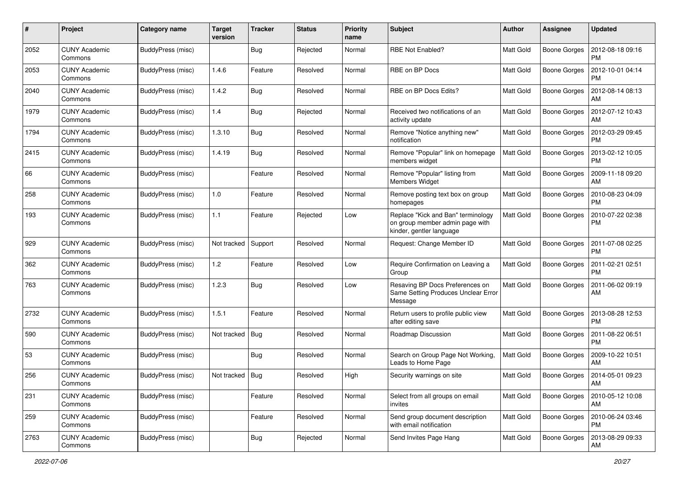| #    | Project                         | Category name     | <b>Target</b><br>version | <b>Tracker</b> | <b>Status</b> | <b>Priority</b><br>name | <b>Subject</b>                                                                                    | <b>Author</b>    | Assignee            | <b>Updated</b>                |
|------|---------------------------------|-------------------|--------------------------|----------------|---------------|-------------------------|---------------------------------------------------------------------------------------------------|------------------|---------------------|-------------------------------|
| 2052 | <b>CUNY Academic</b><br>Commons | BuddyPress (misc) |                          | Bug            | Rejected      | Normal                  | <b>RBE Not Enabled?</b>                                                                           | Matt Gold        | <b>Boone Gorges</b> | 2012-08-18 09:16<br>PM        |
| 2053 | <b>CUNY Academic</b><br>Commons | BuddyPress (misc) | 1.4.6                    | Feature        | Resolved      | Normal                  | RBE on BP Docs                                                                                    | Matt Gold        | <b>Boone Gorges</b> | 2012-10-01 04:14<br><b>PM</b> |
| 2040 | <b>CUNY Academic</b><br>Commons | BuddyPress (misc) | 1.4.2                    | Bug            | Resolved      | Normal                  | RBE on BP Docs Edits?                                                                             | Matt Gold        | <b>Boone Gorges</b> | 2012-08-14 08:13<br>AM        |
| 1979 | <b>CUNY Academic</b><br>Commons | BuddyPress (misc) | 1.4                      | Bug            | Rejected      | Normal                  | Received two notifications of an<br>activity update                                               | <b>Matt Gold</b> | Boone Gorges        | 2012-07-12 10:43<br>AM        |
| 1794 | <b>CUNY Academic</b><br>Commons | BuddyPress (misc) | 1.3.10                   | Bug            | Resolved      | Normal                  | Remove "Notice anything new"<br>notification                                                      | <b>Matt Gold</b> | <b>Boone Gorges</b> | 2012-03-29 09:45<br><b>PM</b> |
| 2415 | <b>CUNY Academic</b><br>Commons | BuddyPress (misc) | 1.4.19                   | <b>Bug</b>     | Resolved      | Normal                  | Remove "Popular" link on homepage<br>members widget                                               | Matt Gold        | Boone Gorges        | 2013-02-12 10:05<br><b>PM</b> |
| 66   | <b>CUNY Academic</b><br>Commons | BuddyPress (misc) |                          | Feature        | Resolved      | Normal                  | Remove "Popular" listing from<br><b>Members Widget</b>                                            | <b>Matt Gold</b> | Boone Gorges        | 2009-11-18 09:20<br>AM        |
| 258  | <b>CUNY Academic</b><br>Commons | BuddyPress (misc) | 1.0                      | Feature        | Resolved      | Normal                  | Remove posting text box on group<br>homepages                                                     | Matt Gold        | <b>Boone Gorges</b> | 2010-08-23 04:09<br>PM        |
| 193  | <b>CUNY Academic</b><br>Commons | BuddyPress (misc) | 1.1                      | Feature        | Rejected      | Low                     | Replace "Kick and Ban" terminology<br>on group member admin page with<br>kinder, gentler language | <b>Matt Gold</b> | Boone Gorges        | 2010-07-22 02:38<br><b>PM</b> |
| 929  | <b>CUNY Academic</b><br>Commons | BuddyPress (misc) | Not tracked              | Support        | Resolved      | Normal                  | Request: Change Member ID                                                                         | <b>Matt Gold</b> | Boone Gorges        | 2011-07-08 02:25<br><b>PM</b> |
| 362  | <b>CUNY Academic</b><br>Commons | BuddyPress (misc) | 1.2                      | Feature        | Resolved      | Low                     | Require Confirmation on Leaving a<br>Group                                                        | <b>Matt Gold</b> | <b>Boone Gorges</b> | 2011-02-21 02:51<br><b>PM</b> |
| 763  | <b>CUNY Academic</b><br>Commons | BuddyPress (misc) | 1.2.3                    | Bug            | Resolved      | Low                     | Resaving BP Docs Preferences on<br>Same Setting Produces Unclear Error<br>Message                 | Matt Gold        | Boone Gorges        | 2011-06-02 09:19<br>AM        |
| 2732 | <b>CUNY Academic</b><br>Commons | BuddyPress (misc) | 1.5.1                    | Feature        | Resolved      | Normal                  | Return users to profile public view<br>after editing save                                         | <b>Matt Gold</b> | Boone Gorges        | 2013-08-28 12:53<br><b>PM</b> |
| 590  | <b>CUNY Academic</b><br>Commons | BuddyPress (misc) | Not tracked              | Bug            | Resolved      | Normal                  | Roadmap Discussion                                                                                | Matt Gold        | Boone Gorges        | 2011-08-22 06:51<br><b>PM</b> |
| 53   | <b>CUNY Academic</b><br>Commons | BuddyPress (misc) |                          | <b>Bug</b>     | Resolved      | Normal                  | Search on Group Page Not Working,<br>Leads to Home Page                                           | <b>Matt Gold</b> | <b>Boone Gorges</b> | 2009-10-22 10:51<br>AM        |
| 256  | <b>CUNY Academic</b><br>Commons | BuddyPress (misc) | Not tracked   Bug        |                | Resolved      | High                    | Security warnings on site                                                                         | Matt Gold        | Boone Gorges        | 2014-05-01 09:23<br>AM        |
| 231  | <b>CUNY Academic</b><br>Commons | BuddyPress (misc) |                          | Feature        | Resolved      | Normal                  | Select from all groups on email<br>invites                                                        | Matt Gold        | <b>Boone Gorges</b> | 2010-05-12 10:08<br>  AM      |
| 259  | <b>CUNY Academic</b><br>Commons | BuddyPress (misc) |                          | Feature        | Resolved      | Normal                  | Send group document description<br>with email notification                                        | Matt Gold        | Boone Gorges        | 2010-06-24 03:46<br><b>PM</b> |
| 2763 | <b>CUNY Academic</b><br>Commons | BuddyPress (misc) |                          | <b>Bug</b>     | Rejected      | Normal                  | Send Invites Page Hang                                                                            | Matt Gold        | Boone Gorges        | 2013-08-29 09:33<br>AM        |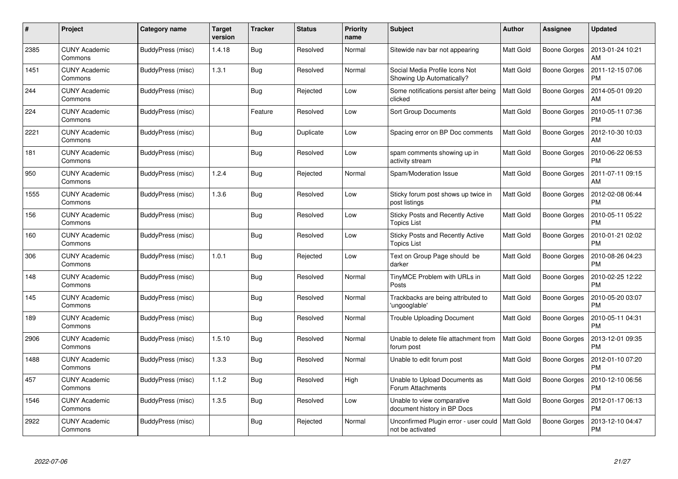| #    | Project                         | Category name     | <b>Target</b><br>version | <b>Tracker</b> | <b>Status</b> | <b>Priority</b><br>name | <b>Subject</b>                                              | <b>Author</b>    | <b>Assignee</b>     | <b>Updated</b>                |
|------|---------------------------------|-------------------|--------------------------|----------------|---------------|-------------------------|-------------------------------------------------------------|------------------|---------------------|-------------------------------|
| 2385 | <b>CUNY Academic</b><br>Commons | BuddyPress (misc) | 1.4.18                   | Bug            | Resolved      | Normal                  | Sitewide nav bar not appearing                              | <b>Matt Gold</b> | Boone Gorges        | 2013-01-24 10:21<br>AM        |
| 1451 | <b>CUNY Academic</b><br>Commons | BuddyPress (misc) | 1.3.1                    | Bug            | Resolved      | Normal                  | Social Media Profile Icons Not<br>Showing Up Automatically? | <b>Matt Gold</b> | Boone Gorges        | 2011-12-15 07:06<br><b>PM</b> |
| 244  | <b>CUNY Academic</b><br>Commons | BuddyPress (misc) |                          | <b>Bug</b>     | Rejected      | Low                     | Some notifications persist after being<br>clicked           | <b>Matt Gold</b> | <b>Boone Gorges</b> | 2014-05-01 09:20<br>AM        |
| 224  | CUNY Academic<br>Commons        | BuddyPress (misc) |                          | Feature        | Resolved      | Low                     | Sort Group Documents                                        | Matt Gold        | Boone Gorges        | 2010-05-11 07:36<br><b>PM</b> |
| 2221 | <b>CUNY Academic</b><br>Commons | BuddyPress (misc) |                          | <b>Bug</b>     | Duplicate     | Low                     | Spacing error on BP Doc comments                            | Matt Gold        | <b>Boone Gorges</b> | 2012-10-30 10:03<br>AM        |
| 181  | <b>CUNY Academic</b><br>Commons | BuddyPress (misc) |                          | Bug            | Resolved      | Low                     | spam comments showing up in<br>activity stream              | Matt Gold        | <b>Boone Gorges</b> | 2010-06-22 06:53<br><b>PM</b> |
| 950  | <b>CUNY Academic</b><br>Commons | BuddyPress (misc) | 1.2.4                    | <b>Bug</b>     | Rejected      | Normal                  | Spam/Moderation Issue                                       | Matt Gold        | Boone Gorges        | 2011-07-11 09:15<br>AM        |
| 1555 | <b>CUNY Academic</b><br>Commons | BuddyPress (misc) | 1.3.6                    | Bug            | Resolved      | Low                     | Sticky forum post shows up twice in<br>post listings        | <b>Matt Gold</b> | <b>Boone Gorges</b> | 2012-02-08 06:44<br><b>PM</b> |
| 156  | <b>CUNY Academic</b><br>Commons | BuddyPress (misc) |                          | Bug            | Resolved      | Low                     | Sticky Posts and Recently Active<br><b>Topics List</b>      | <b>Matt Gold</b> | Boone Gorges        | 2010-05-11 05:22<br><b>PM</b> |
| 160  | <b>CUNY Academic</b><br>Commons | BuddyPress (misc) |                          | <b>Bug</b>     | Resolved      | Low                     | Sticky Posts and Recently Active<br><b>Topics List</b>      | Matt Gold        | Boone Gorges        | 2010-01-21 02:02<br><b>PM</b> |
| 306  | <b>CUNY Academic</b><br>Commons | BuddyPress (misc) | 1.0.1                    | Bug            | Rejected      | Low                     | Text on Group Page should be<br>darker                      | <b>Matt Gold</b> | <b>Boone Gorges</b> | 2010-08-26 04:23<br><b>PM</b> |
| 148  | CUNY Academic<br>Commons        | BuddyPress (misc) |                          | Bug            | Resolved      | Normal                  | TinyMCE Problem with URLs in<br>Posts                       | Matt Gold        | Boone Gorges        | 2010-02-25 12:22<br><b>PM</b> |
| 145  | <b>CUNY Academic</b><br>Commons | BuddyPress (misc) |                          | Bug            | Resolved      | Normal                  | Trackbacks are being attributed to<br>'ungooglable'         | <b>Matt Gold</b> | Boone Gorges        | 2010-05-20 03:07<br><b>PM</b> |
| 189  | <b>CUNY Academic</b><br>Commons | BuddyPress (misc) |                          | Bug            | Resolved      | Normal                  | <b>Trouble Uploading Document</b>                           | <b>Matt Gold</b> | Boone Gorges        | 2010-05-11 04:31<br><b>PM</b> |
| 2906 | <b>CUNY Academic</b><br>Commons | BuddyPress (misc) | 1.5.10                   | <b>Bug</b>     | Resolved      | Normal                  | Unable to delete file attachment from<br>forum post         | <b>Matt Gold</b> | Boone Gorges        | 2013-12-01 09:35<br><b>PM</b> |
| 1488 | <b>CUNY Academic</b><br>Commons | BuddyPress (misc) | 1.3.3                    | Bug            | Resolved      | Normal                  | Unable to edit forum post                                   | <b>Matt Gold</b> | Boone Gorges        | 2012-01-10 07:20<br><b>PM</b> |
| 457  | <b>CUNY Academic</b><br>Commons | BuddyPress (misc) | 1.1.2                    | <b>Bug</b>     | Resolved      | High                    | Unable to Upload Documents as<br>Forum Attachments          | Matt Gold        | Boone Gorges        | 2010-12-10 06:56<br><b>PM</b> |
| 1546 | <b>CUNY Academic</b><br>Commons | BuddyPress (misc) | 1.3.5                    | <b>Bug</b>     | Resolved      | Low                     | Unable to view comparative<br>document history in BP Docs   | <b>Matt Gold</b> | Boone Gorges        | 2012-01-17 06:13<br><b>PM</b> |
| 2922 | CUNY Academic<br>Commons        | BuddyPress (misc) |                          | Bug            | Rejected      | Normal                  | Unconfirmed Plugin error - user could<br>not be activated   | <b>Matt Gold</b> | Boone Gorges        | 2013-12-10 04:47<br><b>PM</b> |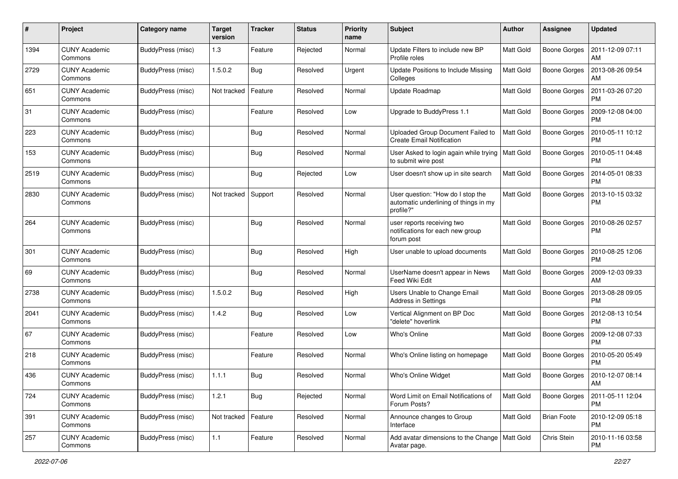| #    | Project                         | Category name     | <b>Target</b><br>version | <b>Tracker</b> | <b>Status</b> | <b>Priority</b><br>name | <b>Subject</b>                                                                          | Author           | Assignee            | <b>Updated</b>                |
|------|---------------------------------|-------------------|--------------------------|----------------|---------------|-------------------------|-----------------------------------------------------------------------------------------|------------------|---------------------|-------------------------------|
| 1394 | <b>CUNY Academic</b><br>Commons | BuddyPress (misc) | 1.3                      | Feature        | Rejected      | Normal                  | Update Filters to include new BP<br>Profile roles                                       | Matt Gold        | Boone Gorges        | 2011-12-09 07:11<br>AM        |
| 2729 | <b>CUNY Academic</b><br>Commons | BuddyPress (misc) | 1.5.0.2                  | <b>Bug</b>     | Resolved      | Urgent                  | Update Positions to Include Missing<br>Colleges                                         | Matt Gold        | <b>Boone Gorges</b> | 2013-08-26 09:54<br>AM        |
| 651  | <b>CUNY Academic</b><br>Commons | BuddyPress (misc) | Not tracked              | Feature        | Resolved      | Normal                  | Update Roadmap                                                                          | Matt Gold        | <b>Boone Gorges</b> | 2011-03-26 07:20<br><b>PM</b> |
| 31   | <b>CUNY Academic</b><br>Commons | BuddyPress (misc) |                          | Feature        | Resolved      | Low                     | Upgrade to BuddyPress 1.1                                                               | <b>Matt Gold</b> | Boone Gorges        | 2009-12-08 04:00<br><b>PM</b> |
| 223  | <b>CUNY Academic</b><br>Commons | BuddyPress (misc) |                          | <b>Bug</b>     | Resolved      | Normal                  | Uploaded Group Document Failed to<br><b>Create Email Notification</b>                   | <b>Matt Gold</b> | <b>Boone Gorges</b> | 2010-05-11 10:12<br><b>PM</b> |
| 153  | <b>CUNY Academic</b><br>Commons | BuddyPress (misc) |                          | <b>Bug</b>     | Resolved      | Normal                  | User Asked to login again while trying<br>to submit wire post                           | Matt Gold        | Boone Gorges        | 2010-05-11 04:48<br><b>PM</b> |
| 2519 | <b>CUNY Academic</b><br>Commons | BuddyPress (misc) |                          | <b>Bug</b>     | Rejected      | Low                     | User doesn't show up in site search                                                     | <b>Matt Gold</b> | Boone Gorges        | 2014-05-01 08:33<br><b>PM</b> |
| 2830 | <b>CUNY Academic</b><br>Commons | BuddyPress (misc) | Not tracked              | Support        | Resolved      | Normal                  | User question: "How do I stop the<br>automatic underlining of things in my<br>profile?" | Matt Gold        | <b>Boone Gorges</b> | 2013-10-15 03:32<br><b>PM</b> |
| 264  | <b>CUNY Academic</b><br>Commons | BuddyPress (misc) |                          | <b>Bug</b>     | Resolved      | Normal                  | user reports receiving two<br>notifications for each new group<br>forum post            | Matt Gold        | Boone Gorges        | 2010-08-26 02:57<br><b>PM</b> |
| 301  | <b>CUNY Academic</b><br>Commons | BuddyPress (misc) |                          | Bug            | Resolved      | High                    | User unable to upload documents                                                         | Matt Gold        | <b>Boone Gorges</b> | 2010-08-25 12:06<br><b>PM</b> |
| 69   | <b>CUNY Academic</b><br>Commons | BuddyPress (misc) |                          | <b>Bug</b>     | Resolved      | Normal                  | UserName doesn't appear in News<br>Feed Wiki Edit                                       | <b>Matt Gold</b> | Boone Gorges        | 2009-12-03 09:33<br>AM        |
| 2738 | <b>CUNY Academic</b><br>Commons | BuddyPress (misc) | 1.5.0.2                  | <b>Bug</b>     | Resolved      | High                    | Users Unable to Change Email<br><b>Address in Settings</b>                              | <b>Matt Gold</b> | <b>Boone Gorges</b> | 2013-08-28 09:05<br><b>PM</b> |
| 2041 | <b>CUNY Academic</b><br>Commons | BuddyPress (misc) | 1.4.2                    | Bug            | Resolved      | Low                     | Vertical Alignment on BP Doc<br>"delete" hoverlink                                      | <b>Matt Gold</b> | Boone Gorges        | 2012-08-13 10:54<br><b>PM</b> |
| 67   | <b>CUNY Academic</b><br>Commons | BuddyPress (misc) |                          | Feature        | Resolved      | Low                     | Who's Online                                                                            | Matt Gold        | Boone Gorges        | 2009-12-08 07:33<br><b>PM</b> |
| 218  | <b>CUNY Academic</b><br>Commons | BuddyPress (misc) |                          | Feature        | Resolved      | Normal                  | Who's Online listing on homepage                                                        | <b>Matt Gold</b> | Boone Gorges        | 2010-05-20 05:49<br><b>PM</b> |
| 436  | <b>CUNY Academic</b><br>Commons | BuddyPress (misc) | 1.1.1                    | Bug            | Resolved      | Normal                  | Who's Online Widget                                                                     | Matt Gold        | Boone Gorges        | 2010-12-07 08:14<br>AM        |
| 724  | <b>CUNY Academic</b><br>Commons | BuddyPress (misc) | 1.2.1                    | <b>Bug</b>     | Rejected      | Normal                  | Word Limit on Email Notifications of<br>Forum Posts?                                    | <b>Matt Gold</b> | <b>Boone Gorges</b> | 2011-05-11 12:04<br><b>PM</b> |
| 391  | <b>CUNY Academic</b><br>Commons | BuddyPress (misc) | Not tracked   Feature    |                | Resolved      | Normal                  | Announce changes to Group<br>Interface                                                  | Matt Gold        | <b>Brian Foote</b>  | 2010-12-09 05:18<br><b>PM</b> |
| 257  | <b>CUNY Academic</b><br>Commons | BuddyPress (misc) | $1.1$                    | Feature        | Resolved      | Normal                  | Add avatar dimensions to the Change   Matt Gold<br>Avatar page.                         |                  | Chris Stein         | 2010-11-16 03:58<br>PM        |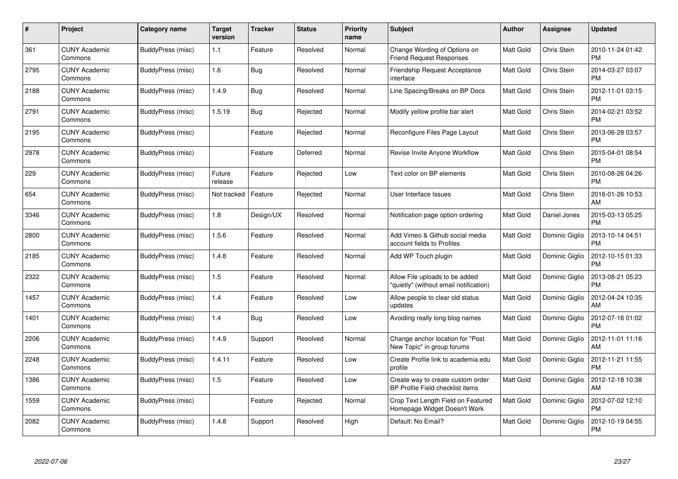| #    | Project                         | Category name     | Target<br>version | <b>Tracker</b> | <b>Status</b> | <b>Priority</b><br>name | <b>Subject</b>                                                           | <b>Author</b>    | Assignee       | <b>Updated</b>                |
|------|---------------------------------|-------------------|-------------------|----------------|---------------|-------------------------|--------------------------------------------------------------------------|------------------|----------------|-------------------------------|
| 361  | <b>CUNY Academic</b><br>Commons | BuddyPress (misc) | 1.1               | Feature        | Resolved      | Normal                  | Change Wording of Options on<br><b>Friend Request Responses</b>          | <b>Matt Gold</b> | Chris Stein    | 2010-11-24 01:42<br><b>PM</b> |
| 2795 | <b>CUNY Academic</b><br>Commons | BuddyPress (misc) | 1.6               | Bug            | Resolved      | Normal                  | <b>Friendship Request Acceptance</b><br>interface                        | <b>Matt Gold</b> | Chris Stein    | 2014-03-27 03:07<br><b>PM</b> |
| 2188 | <b>CUNY Academic</b><br>Commons | BuddyPress (misc) | 1.4.9             | <b>Bug</b>     | Resolved      | Normal                  | Line Spacing/Breaks on BP Docs                                           | <b>Matt Gold</b> | Chris Stein    | 2012-11-01 03:15<br><b>PM</b> |
| 2791 | <b>CUNY Academic</b><br>Commons | BuddyPress (misc) | 1.5.19            | <b>Bug</b>     | Rejected      | Normal                  | Modify yellow profile bar alert                                          | Matt Gold        | Chris Stein    | 2014-02-21 03:52<br><b>PM</b> |
| 2195 | <b>CUNY Academic</b><br>Commons | BuddyPress (misc) |                   | Feature        | Rejected      | Normal                  | Reconfigure Files Page Layout                                            | <b>Matt Gold</b> | Chris Stein    | 2013-06-28 03:57<br><b>PM</b> |
| 2978 | <b>CUNY Academic</b><br>Commons | BuddyPress (misc) |                   | Feature        | Deferred      | Normal                  | Revise Invite Anyone Workflow                                            | <b>Matt Gold</b> | Chris Stein    | 2015-04-01 08:54<br><b>PM</b> |
| 229  | <b>CUNY Academic</b><br>Commons | BuddyPress (misc) | Future<br>release | Feature        | Rejected      | Low                     | Text color on BP elements                                                | <b>Matt Gold</b> | Chris Stein    | 2010-08-26 04:26<br><b>PM</b> |
| 654  | <b>CUNY Academic</b><br>Commons | BuddyPress (misc) | Not tracked       | Feature        | Rejected      | Normal                  | User Interface Issues                                                    | <b>Matt Gold</b> | Chris Stein    | 2016-01-26 10:53<br>AM        |
| 3346 | <b>CUNY Academic</b><br>Commons | BuddyPress (misc) | 1.8               | Design/UX      | Resolved      | Normal                  | Notification page option ordering                                        | <b>Matt Gold</b> | Daniel Jones   | 2015-03-13 05:25<br><b>PM</b> |
| 2800 | <b>CUNY Academic</b><br>Commons | BuddyPress (misc) | 1.5.6             | Feature        | Resolved      | Normal                  | Add Vimeo & Github social media<br>account fields to Profiles            | <b>Matt Gold</b> | Dominic Giglio | 2013-10-14 04:51<br><b>PM</b> |
| 2185 | <b>CUNY Academic</b><br>Commons | BuddyPress (misc) | 1.4.8             | Feature        | Resolved      | Normal                  | Add WP Touch plugin                                                      | Matt Gold        | Dominic Giglio | 2012-10-15 01:33<br><b>PM</b> |
| 2322 | <b>CUNY Academic</b><br>Commons | BuddyPress (misc) | 1.5               | Feature        | Resolved      | Normal                  | Allow File uploads to be added<br>"quietly" (without email notification) | <b>Matt Gold</b> | Dominic Giglio | 2013-08-21 05:23<br><b>PM</b> |
| 1457 | <b>CUNY Academic</b><br>Commons | BuddyPress (misc) | 1.4               | Feature        | Resolved      | Low                     | Allow people to clear old status<br>updates                              | <b>Matt Gold</b> | Dominic Giglio | 2012-04-24 10:35<br>AM        |
| 1401 | <b>CUNY Academic</b><br>Commons | BuddyPress (misc) | 1.4               | Bug            | Resolved      | Low                     | Avoiding really long blog names                                          | Matt Gold        | Dominic Giglio | 2012-07-16 01:02<br><b>PM</b> |
| 2206 | <b>CUNY Academic</b><br>Commons | BuddyPress (misc) | 1.4.9             | Support        | Resolved      | Normal                  | Change anchor location for "Post"<br>New Topic" in group forums          | Matt Gold        | Dominic Giglio | 2012-11-01 11:16<br>AM        |
| 2248 | <b>CUNY Academic</b><br>Commons | BuddyPress (misc) | 1.4.11            | Feature        | Resolved      | Low                     | Create Profile link to academia.edu<br>profile                           | <b>Matt Gold</b> | Dominic Giglio | 2012-11-21 11:55<br><b>PM</b> |
| 1386 | <b>CUNY Academic</b><br>Commons | BuddyPress (misc) | 1.5               | Feature        | Resolved      | Low                     | Create way to create custom order<br>BP Profile Field checklist items    | Matt Gold        | Dominic Giglio | 2012-12-18 10:38<br>AM        |
| 1559 | <b>CUNY Academic</b><br>Commons | BuddyPress (misc) |                   | Feature        | Rejected      | Normal                  | Crop Text Length Field on Featured<br>Homepage Widget Doesn't Work       | Matt Gold        | Dominic Giglio | 2012-07-02 12:10<br><b>PM</b> |
| 2082 | CUNY Academic<br>Commons        | BuddyPress (misc) | 1.4.8             | Support        | Resolved      | High                    | Default: No Email?                                                       | <b>Matt Gold</b> | Dominic Giglio | 2012-10-19 04:55<br>PM        |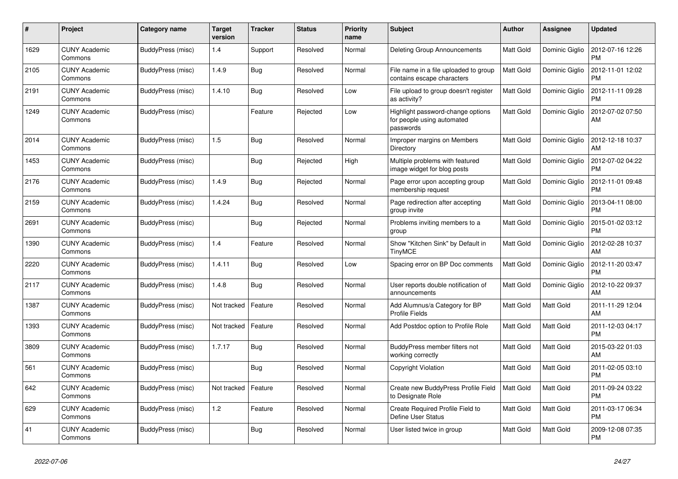| #    | Project                         | Category name     | Target<br>version | <b>Tracker</b> | <b>Status</b> | <b>Priority</b><br>name | <b>Subject</b>                                                               | <b>Author</b>    | Assignee         | <b>Updated</b>                |
|------|---------------------------------|-------------------|-------------------|----------------|---------------|-------------------------|------------------------------------------------------------------------------|------------------|------------------|-------------------------------|
| 1629 | <b>CUNY Academic</b><br>Commons | BuddyPress (misc) | 1.4               | Support        | Resolved      | Normal                  | <b>Deleting Group Announcements</b>                                          | Matt Gold        | Dominic Giglio   | 2012-07-16 12:26<br><b>PM</b> |
| 2105 | <b>CUNY Academic</b><br>Commons | BuddyPress (misc) | 1.4.9             | <b>Bug</b>     | Resolved      | Normal                  | File name in a file uploaded to group<br>contains escape characters          | Matt Gold        | Dominic Giglio   | 2012-11-01 12:02<br><b>PM</b> |
| 2191 | <b>CUNY Academic</b><br>Commons | BuddyPress (misc) | 1.4.10            | <b>Bug</b>     | Resolved      | Low                     | File upload to group doesn't register<br>as activity?                        | <b>Matt Gold</b> | Dominic Giglio   | 2012-11-11 09:28<br><b>PM</b> |
| 1249 | <b>CUNY Academic</b><br>Commons | BuddyPress (misc) |                   | Feature        | Rejected      | Low                     | Highlight password-change options<br>for people using automated<br>passwords | <b>Matt Gold</b> | Dominic Giglio   | 2012-07-02 07:50<br>AM        |
| 2014 | <b>CUNY Academic</b><br>Commons | BuddyPress (misc) | 1.5               | <b>Bug</b>     | Resolved      | Normal                  | Improper margins on Members<br>Directory                                     | <b>Matt Gold</b> | Dominic Giglio   | 2012-12-18 10:37<br>AM        |
| 1453 | <b>CUNY Academic</b><br>Commons | BuddyPress (misc) |                   | <b>Bug</b>     | Rejected      | High                    | Multiple problems with featured<br>image widget for blog posts               | <b>Matt Gold</b> | Dominic Giglio   | 2012-07-02 04:22<br><b>PM</b> |
| 2176 | <b>CUNY Academic</b><br>Commons | BuddyPress (misc) | 1.4.9             | Bug            | Rejected      | Normal                  | Page error upon accepting group<br>membership request                        | <b>Matt Gold</b> | Dominic Giglio   | 2012-11-01 09:48<br><b>PM</b> |
| 2159 | <b>CUNY Academic</b><br>Commons | BuddyPress (misc) | 1.4.24            | <b>Bug</b>     | Resolved      | Normal                  | Page redirection after accepting<br>group invite                             | <b>Matt Gold</b> | Dominic Giglio   | 2013-04-11 08:00<br><b>PM</b> |
| 2691 | <b>CUNY Academic</b><br>Commons | BuddyPress (misc) |                   | Bug            | Rejected      | Normal                  | Problems inviting members to a<br>group                                      | <b>Matt Gold</b> | Dominic Giglio   | 2015-01-02 03:12<br>PM        |
| 1390 | <b>CUNY Academic</b><br>Commons | BuddyPress (misc) | 1.4               | Feature        | Resolved      | Normal                  | Show "Kitchen Sink" by Default in<br><b>TinyMCE</b>                          | <b>Matt Gold</b> | Dominic Giglio   | 2012-02-28 10:37<br>AM        |
| 2220 | <b>CUNY Academic</b><br>Commons | BuddyPress (misc) | 1.4.11            | <b>Bug</b>     | Resolved      | Low                     | Spacing error on BP Doc comments                                             | Matt Gold        | Dominic Giglio   | 2012-11-20 03:47<br><b>PM</b> |
| 2117 | <b>CUNY Academic</b><br>Commons | BuddyPress (misc) | 1.4.8             | <b>Bug</b>     | Resolved      | Normal                  | User reports double notification of<br>announcements                         | <b>Matt Gold</b> | Dominic Giglio   | 2012-10-22 09:37<br>AM        |
| 1387 | <b>CUNY Academic</b><br>Commons | BuddyPress (misc) | Not tracked       | Feature        | Resolved      | Normal                  | Add Alumnus/a Category for BP<br><b>Profile Fields</b>                       | <b>Matt Gold</b> | Matt Gold        | 2011-11-29 12:04<br>AM        |
| 1393 | <b>CUNY Academic</b><br>Commons | BuddyPress (misc) | Not tracked       | Feature        | Resolved      | Normal                  | Add Postdoc option to Profile Role                                           | <b>Matt Gold</b> | <b>Matt Gold</b> | 2011-12-03 04:17<br><b>PM</b> |
| 3809 | <b>CUNY Academic</b><br>Commons | BuddyPress (misc) | 1.7.17            | <b>Bug</b>     | Resolved      | Normal                  | BuddyPress member filters not<br>working correctly                           | <b>Matt Gold</b> | <b>Matt Gold</b> | 2015-03-22 01:03<br>AM        |
| 561  | <b>CUNY Academic</b><br>Commons | BuddyPress (misc) |                   | Bug            | Resolved      | Normal                  | Copyright Violation                                                          | <b>Matt Gold</b> | Matt Gold        | 2011-02-05 03:10<br>PM        |
| 642  | <b>CUNY Academic</b><br>Commons | BuddyPress (misc) | Not tracked       | Feature        | Resolved      | Normal                  | Create new BuddyPress Profile Field<br>to Designate Role                     | <b>Matt Gold</b> | Matt Gold        | 2011-09-24 03:22<br><b>PM</b> |
| 629  | <b>CUNY Academic</b><br>Commons | BuddyPress (misc) | 1.2               | Feature        | Resolved      | Normal                  | Create Required Profile Field to<br>Define User Status                       | <b>Matt Gold</b> | <b>Matt Gold</b> | 2011-03-17 06:34<br><b>PM</b> |
| 41   | <b>CUNY Academic</b><br>Commons | BuddyPress (misc) |                   | Bug            | Resolved      | Normal                  | User listed twice in group                                                   | <b>Matt Gold</b> | <b>Matt Gold</b> | 2009-12-08 07:35<br><b>PM</b> |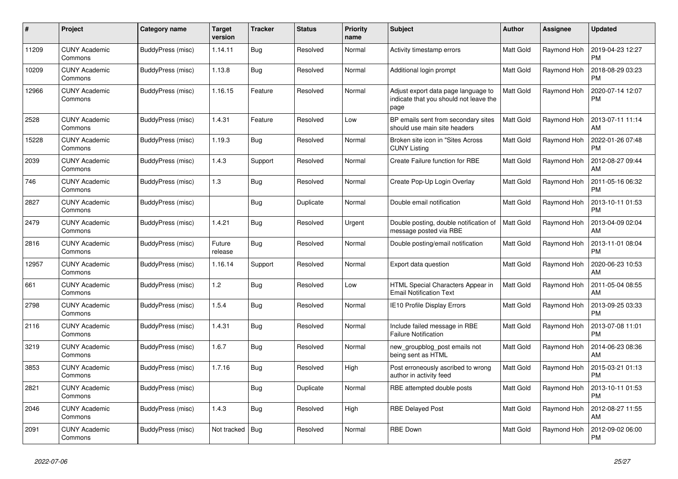| #     | Project                         | Category name     | Target<br>version | <b>Tracker</b> | <b>Status</b> | <b>Priority</b><br>name | <b>Subject</b>                                                                        | Author           | Assignee    | <b>Updated</b>                |
|-------|---------------------------------|-------------------|-------------------|----------------|---------------|-------------------------|---------------------------------------------------------------------------------------|------------------|-------------|-------------------------------|
| 11209 | <b>CUNY Academic</b><br>Commons | BuddyPress (misc) | 1.14.11           | <b>Bug</b>     | Resolved      | Normal                  | Activity timestamp errors                                                             | <b>Matt Gold</b> | Raymond Hoh | 2019-04-23 12:27<br><b>PM</b> |
| 10209 | <b>CUNY Academic</b><br>Commons | BuddyPress (misc) | 1.13.8            | Bug            | Resolved      | Normal                  | Additional login prompt                                                               | <b>Matt Gold</b> | Raymond Hoh | 2018-08-29 03:23<br>PM        |
| 12966 | <b>CUNY Academic</b><br>Commons | BuddyPress (misc) | 1.16.15           | Feature        | Resolved      | Normal                  | Adjust export data page language to<br>indicate that you should not leave the<br>page | <b>Matt Gold</b> | Raymond Hoh | 2020-07-14 12:07<br><b>PM</b> |
| 2528  | <b>CUNY Academic</b><br>Commons | BuddyPress (misc) | 1.4.31            | Feature        | Resolved      | Low                     | BP emails sent from secondary sites<br>should use main site headers                   | <b>Matt Gold</b> | Raymond Hoh | 2013-07-11 11:14<br>AM        |
| 15228 | <b>CUNY Academic</b><br>Commons | BuddyPress (misc) | 1.19.3            | <b>Bug</b>     | Resolved      | Normal                  | Broken site icon in "Sites Across"<br><b>CUNY Listing</b>                             | <b>Matt Gold</b> | Raymond Hoh | 2022-01-26 07:48<br><b>PM</b> |
| 2039  | <b>CUNY Academic</b><br>Commons | BuddyPress (misc) | 1.4.3             | Support        | Resolved      | Normal                  | Create Failure function for RBE                                                       | <b>Matt Gold</b> | Raymond Hoh | 2012-08-27 09:44<br>AM        |
| 746   | <b>CUNY Academic</b><br>Commons | BuddyPress (misc) | 1.3               | <b>Bug</b>     | Resolved      | Normal                  | Create Pop-Up Login Overlay                                                           | <b>Matt Gold</b> | Raymond Hoh | 2011-05-16 06:32<br><b>PM</b> |
| 2827  | <b>CUNY Academic</b><br>Commons | BuddyPress (misc) |                   | Bug            | Duplicate     | Normal                  | Double email notification                                                             | <b>Matt Gold</b> | Raymond Hoh | 2013-10-11 01:53<br>PM        |
| 2479  | <b>CUNY Academic</b><br>Commons | BuddyPress (misc) | 1.4.21            | <b>Bug</b>     | Resolved      | Urgent                  | Double posting, double notification of<br>message posted via RBE                      | <b>Matt Gold</b> | Raymond Hoh | 2013-04-09 02:04<br>AM        |
| 2816  | <b>CUNY Academic</b><br>Commons | BuddyPress (misc) | Future<br>release | Bug            | Resolved      | Normal                  | Double posting/email notification                                                     | <b>Matt Gold</b> | Raymond Hoh | 2013-11-01 08:04<br><b>PM</b> |
| 12957 | <b>CUNY Academic</b><br>Commons | BuddyPress (misc) | 1.16.14           | Support        | Resolved      | Normal                  | Export data question                                                                  | Matt Gold        | Raymond Hoh | 2020-06-23 10:53<br>AM        |
| 661   | <b>CUNY Academic</b><br>Commons | BuddyPress (misc) | 1.2               | Bug            | Resolved      | Low                     | HTML Special Characters Appear in<br><b>Email Notification Text</b>                   | <b>Matt Gold</b> | Raymond Hoh | 2011-05-04 08:55<br>AM        |
| 2798  | <b>CUNY Academic</b><br>Commons | BuddyPress (misc) | 1.5.4             | Bug            | Resolved      | Normal                  | IE10 Profile Display Errors                                                           | Matt Gold        | Raymond Hoh | 2013-09-25 03:33<br><b>PM</b> |
| 2116  | <b>CUNY Academic</b><br>Commons | BuddyPress (misc) | 1.4.31            | Bug            | Resolved      | Normal                  | Include failed message in RBE<br><b>Failure Notification</b>                          | <b>Matt Gold</b> | Raymond Hoh | 2013-07-08 11:01<br><b>PM</b> |
| 3219  | <b>CUNY Academic</b><br>Commons | BuddyPress (misc) | 1.6.7             | Bug            | Resolved      | Normal                  | new_groupblog_post emails not<br>being sent as HTML                                   | <b>Matt Gold</b> | Raymond Hoh | 2014-06-23 08:36<br>AM        |
| 3853  | <b>CUNY Academic</b><br>Commons | BuddyPress (misc) | 1.7.16            | Bug            | Resolved      | High                    | Post erroneously ascribed to wrong<br>author in activity feed                         | <b>Matt Gold</b> | Raymond Hoh | 2015-03-21 01:13<br>PM        |
| 2821  | <b>CUNY Academic</b><br>Commons | BuddyPress (misc) |                   | <b>Bug</b>     | Duplicate     | Normal                  | RBE attempted double posts                                                            | <b>Matt Gold</b> | Raymond Hoh | 2013-10-11 01:53<br><b>PM</b> |
| 2046  | <b>CUNY Academic</b><br>Commons | BuddyPress (misc) | 1.4.3             | Bug            | Resolved      | High                    | <b>RBE Delayed Post</b>                                                               | <b>Matt Gold</b> | Raymond Hoh | 2012-08-27 11:55<br>AM        |
| 2091  | <b>CUNY Academic</b><br>Commons | BuddyPress (misc) | Not tracked       | Bug            | Resolved      | Normal                  | <b>RBE Down</b>                                                                       | <b>Matt Gold</b> | Raymond Hoh | 2012-09-02 06:00<br><b>PM</b> |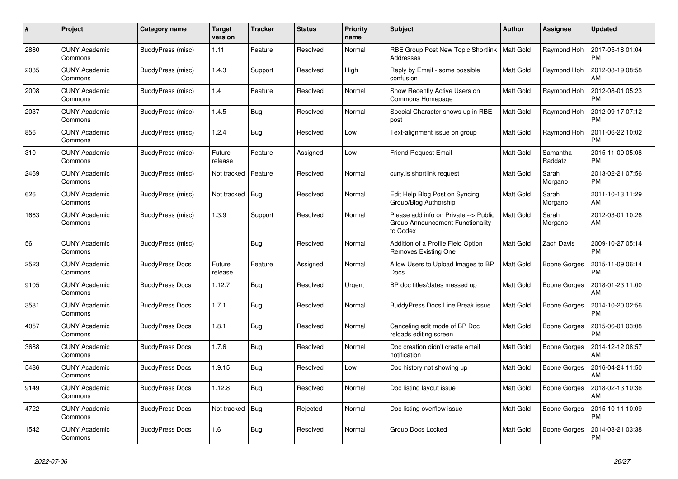| #    | Project                         | Category name          | <b>Target</b><br>version | <b>Tracker</b> | <b>Status</b> | <b>Priority</b><br>name | <b>Subject</b>                                                                        | <b>Author</b>    | Assignee            | <b>Updated</b>                |
|------|---------------------------------|------------------------|--------------------------|----------------|---------------|-------------------------|---------------------------------------------------------------------------------------|------------------|---------------------|-------------------------------|
| 2880 | <b>CUNY Academic</b><br>Commons | BuddyPress (misc)      | 1.11                     | Feature        | Resolved      | Normal                  | <b>RBE Group Post New Topic Shortlink</b><br>Addresses                                | <b>Matt Gold</b> | Raymond Hoh         | 2017-05-18 01:04<br><b>PM</b> |
| 2035 | <b>CUNY Academic</b><br>Commons | BuddyPress (misc)      | 1.4.3                    | Support        | Resolved      | High                    | Reply by Email - some possible<br>confusion                                           | Matt Gold        | Raymond Hoh         | 2012-08-19 08:58<br>AM        |
| 2008 | <b>CUNY Academic</b><br>Commons | BuddyPress (misc)      | 1.4                      | Feature        | Resolved      | Normal                  | Show Recently Active Users on<br>Commons Homepage                                     | Matt Gold        | Raymond Hoh         | 2012-08-01 05:23<br><b>PM</b> |
| 2037 | <b>CUNY Academic</b><br>Commons | BuddyPress (misc)      | 1.4.5                    | Bug            | Resolved      | Normal                  | Special Character shows up in RBE<br>post                                             | <b>Matt Gold</b> | Raymond Hoh         | 2012-09-17 07:12<br><b>PM</b> |
| 856  | <b>CUNY Academic</b><br>Commons | BuddyPress (misc)      | 1.2.4                    | Bug            | Resolved      | Low                     | Text-alignment issue on group                                                         | Matt Gold        | Raymond Hoh         | 2011-06-22 10:02<br><b>PM</b> |
| 310  | <b>CUNY Academic</b><br>Commons | BuddyPress (misc)      | Future<br>release        | Feature        | Assigned      | Low                     | <b>Friend Request Email</b>                                                           | <b>Matt Gold</b> | Samantha<br>Raddatz | 2015-11-09 05:08<br><b>PM</b> |
| 2469 | <b>CUNY Academic</b><br>Commons | BuddyPress (misc)      | Not tracked              | Feature        | Resolved      | Normal                  | cuny.is shortlink request                                                             | <b>Matt Gold</b> | Sarah<br>Morgano    | 2013-02-21 07:56<br><b>PM</b> |
| 626  | <b>CUNY Academic</b><br>Commons | BuddyPress (misc)      | Not tracked              | Bug            | Resolved      | Normal                  | Edit Help Blog Post on Syncing<br>Group/Blog Authorship                               | <b>Matt Gold</b> | Sarah<br>Morgano    | 2011-10-13 11:29<br>AM        |
| 1663 | <b>CUNY Academic</b><br>Commons | BuddyPress (misc)      | 1.3.9                    | Support        | Resolved      | Normal                  | Please add info on Private --> Public<br>Group Announcement Functionality<br>to Codex | Matt Gold        | Sarah<br>Morgano    | 2012-03-01 10:26<br>AM        |
| 56   | <b>CUNY Academic</b><br>Commons | BuddyPress (misc)      |                          | <b>Bug</b>     | Resolved      | Normal                  | Addition of a Profile Field Option<br>Removes Existing One                            | <b>Matt Gold</b> | Zach Davis          | 2009-10-27 05:14<br><b>PM</b> |
| 2523 | <b>CUNY Academic</b><br>Commons | <b>BuddyPress Docs</b> | Future<br>release        | Feature        | Assigned      | Normal                  | Allow Users to Upload Images to BP<br>Docs                                            | Matt Gold        | Boone Gorges        | 2015-11-09 06:14<br>PM        |
| 9105 | <b>CUNY Academic</b><br>Commons | <b>BuddyPress Docs</b> | 1.12.7                   | Bug            | Resolved      | Urgent                  | BP doc titles/dates messed up                                                         | Matt Gold        | Boone Gorges        | 2018-01-23 11:00<br>AM        |
| 3581 | <b>CUNY Academic</b><br>Commons | <b>BuddyPress Docs</b> | 1.7.1                    | Bug            | Resolved      | Normal                  | <b>BuddyPress Docs Line Break issue</b>                                               | <b>Matt Gold</b> | Boone Gorges        | 2014-10-20 02:56<br><b>PM</b> |
| 4057 | <b>CUNY Academic</b><br>Commons | <b>BuddyPress Docs</b> | 1.8.1                    | <b>Bug</b>     | Resolved      | Normal                  | Canceling edit mode of BP Doc<br>reloads editing screen                               | Matt Gold        | Boone Gorges        | 2015-06-01 03:08<br><b>PM</b> |
| 3688 | <b>CUNY Academic</b><br>Commons | <b>BuddyPress Docs</b> | 1.7.6                    | <b>Bug</b>     | Resolved      | Normal                  | Doc creation didn't create email<br>notification                                      | <b>Matt Gold</b> | Boone Gorges        | 2014-12-12 08:57<br>AM        |
| 5486 | <b>CUNY Academic</b><br>Commons | <b>BuddyPress Docs</b> | 1.9.15                   | <b>Bug</b>     | Resolved      | Low                     | Doc history not showing up                                                            | Matt Gold        | Boone Gorges        | 2016-04-24 11:50<br>AM        |
| 9149 | <b>CUNY Academic</b><br>Commons | <b>BuddyPress Docs</b> | 1.12.8                   | <b>Bug</b>     | Resolved      | Normal                  | Doc listing layout issue                                                              | <b>Matt Gold</b> | Boone Gorges        | 2018-02-13 10:36<br>AM        |
| 4722 | <b>CUNY Academic</b><br>Commons | <b>BuddyPress Docs</b> | Not tracked              | Bug            | Rejected      | Normal                  | Doc listing overflow issue                                                            | <b>Matt Gold</b> | Boone Gorges        | 2015-10-11 10:09<br><b>PM</b> |
| 1542 | <b>CUNY Academic</b><br>Commons | <b>BuddyPress Docs</b> | 1.6                      | <b>Bug</b>     | Resolved      | Normal                  | Group Docs Locked                                                                     | <b>Matt Gold</b> | Boone Gorges        | 2014-03-21 03:38<br><b>PM</b> |